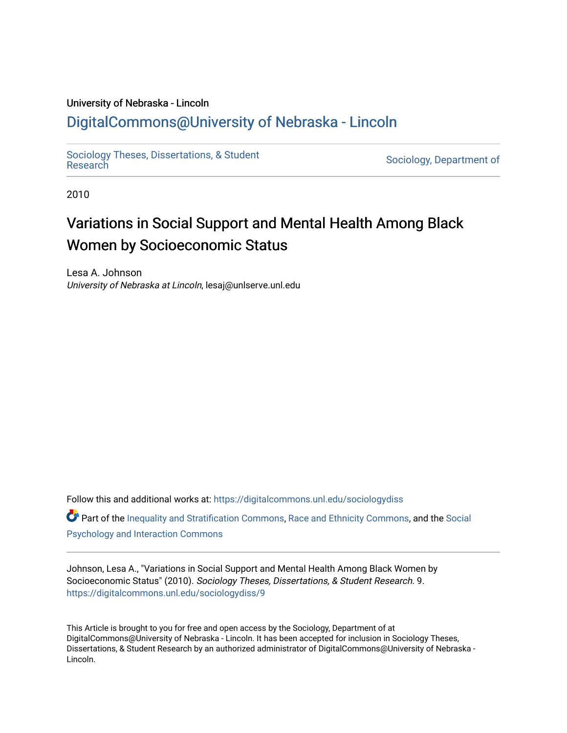#### University of Nebraska - Lincoln

## [DigitalCommons@University of Nebraska - Lincoln](https://digitalcommons.unl.edu/)

[Sociology Theses, Dissertations, & Student](https://digitalcommons.unl.edu/sociologydiss)

Sociology, Department of

2010

## Variations in Social Support and Mental Health Among Black Women by Socioeconomic Status

Lesa A. Johnson University of Nebraska at Lincoln, lesaj@unlserve.unl.edu

Follow this and additional works at: [https://digitalcommons.unl.edu/sociologydiss](https://digitalcommons.unl.edu/sociologydiss?utm_source=digitalcommons.unl.edu%2Fsociologydiss%2F9&utm_medium=PDF&utm_campaign=PDFCoverPages)  Part of the [Inequality and Stratification Commons](http://network.bepress.com/hgg/discipline/421?utm_source=digitalcommons.unl.edu%2Fsociologydiss%2F9&utm_medium=PDF&utm_campaign=PDFCoverPages), [Race and Ethnicity Commons,](http://network.bepress.com/hgg/discipline/426?utm_source=digitalcommons.unl.edu%2Fsociologydiss%2F9&utm_medium=PDF&utm_campaign=PDFCoverPages) and the [Social](http://network.bepress.com/hgg/discipline/430?utm_source=digitalcommons.unl.edu%2Fsociologydiss%2F9&utm_medium=PDF&utm_campaign=PDFCoverPages) [Psychology and Interaction Commons](http://network.bepress.com/hgg/discipline/430?utm_source=digitalcommons.unl.edu%2Fsociologydiss%2F9&utm_medium=PDF&utm_campaign=PDFCoverPages) 

Johnson, Lesa A., "Variations in Social Support and Mental Health Among Black Women by Socioeconomic Status" (2010). Sociology Theses, Dissertations, & Student Research. 9. [https://digitalcommons.unl.edu/sociologydiss/9](https://digitalcommons.unl.edu/sociologydiss/9?utm_source=digitalcommons.unl.edu%2Fsociologydiss%2F9&utm_medium=PDF&utm_campaign=PDFCoverPages)

This Article is brought to you for free and open access by the Sociology, Department of at DigitalCommons@University of Nebraska - Lincoln. It has been accepted for inclusion in Sociology Theses, Dissertations, & Student Research by an authorized administrator of DigitalCommons@University of Nebraska -Lincoln.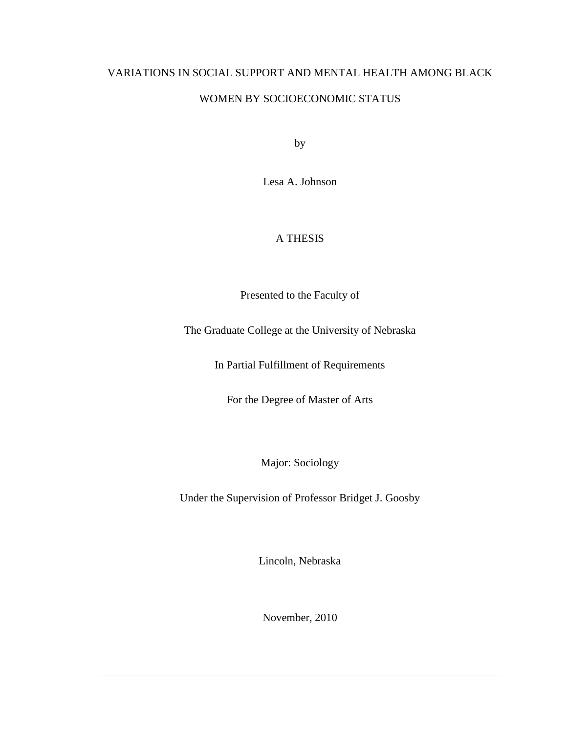## VARIATIONS IN SOCIAL SUPPORT AND MENTAL HEALTH AMONG BLACK

## WOMEN BY SOCIOECONOMIC STATUS

by

Lesa A. Johnson

## A THESIS

Presented to the Faculty of

The Graduate College at the University of Nebraska

In Partial Fulfillment of Requirements

For the Degree of Master of Arts

Major: Sociology

Under the Supervision of Professor Bridget J. Goosby

Lincoln, Nebraska

November, 2010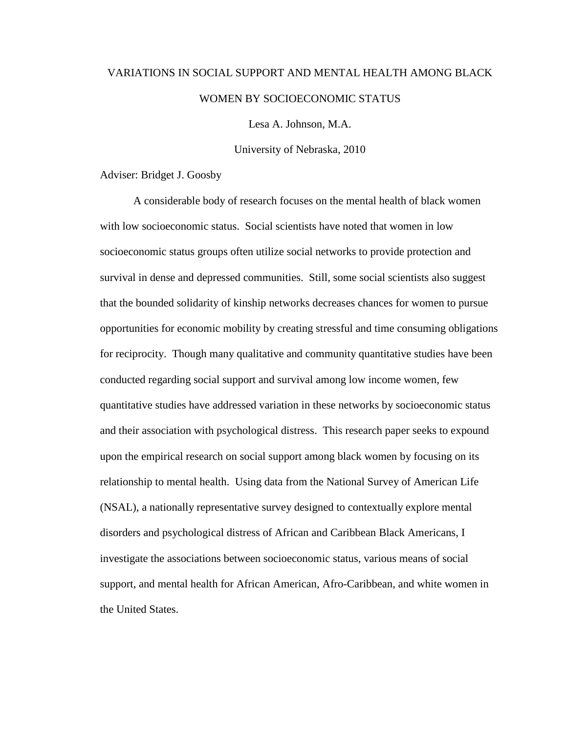# VARIATIONS IN SOCIAL SUPPORT AND MENTAL HEALTH AMONG BLACK WOMEN BY SOCIOECONOMIC STATUS

Lesa A. Johnson, M.A.

University of Nebraska, 2010

Adviser: Bridget J. Goosby

A considerable body of research focuses on the mental health of black women with low socioeconomic status. Social scientists have noted that women in low socioeconomic status groups often utilize social networks to provide protection and survival in dense and depressed communities. Still, some social scientists also suggest that the bounded solidarity of kinship networks decreases chances for women to pursue opportunities for economic mobility by creating stressful and time consuming obligations for reciprocity. Though many qualitative and community quantitative studies have been conducted regarding social support and survival among low income women, few quantitative studies have addressed variation in these networks by socioeconomic status and their association with psychological distress. This research paper seeks to expound upon the empirical research on social support among black women by focusing on its relationship to mental health. Using data from the National Survey of American Life (NSAL), a nationally representative survey designed to contextually explore mental disorders and psychological distress of African and Caribbean Black Americans, I investigate the associations between socioeconomic status, various means of social support, and mental health for African American, Afro-Caribbean, and white women in the United States.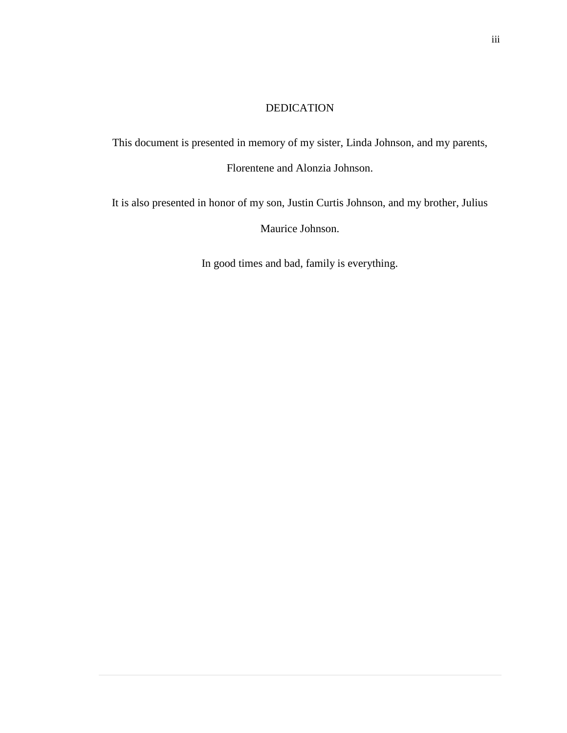### DEDICATION

This document is presented in memory of my sister, Linda Johnson, and my parents, Florentene and Alonzia Johnson.

It is also presented in honor of my son, Justin Curtis Johnson, and my brother, Julius Maurice Johnson.

In good times and bad, family is everything.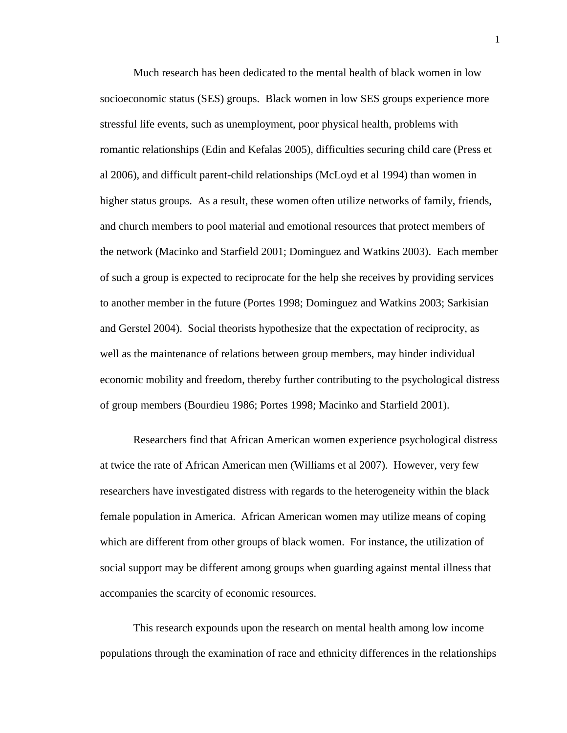Much research has been dedicated to the mental health of black women in low socioeconomic status (SES) groups. Black women in low SES groups experience more stressful life events, such as unemployment, poor physical health, problems with romantic relationships (Edin and Kefalas 2005), difficulties securing child care (Press et al 2006), and difficult parent-child relationships (McLoyd et al 1994) than women in higher status groups. As a result, these women often utilize networks of family, friends, and church members to pool material and emotional resources that protect members of the network (Macinko and Starfield 2001; Dominguez and Watkins 2003). Each member of such a group is expected to reciprocate for the help she receives by providing services to another member in the future (Portes 1998; Dominguez and Watkins 2003; Sarkisian and Gerstel 2004). Social theorists hypothesize that the expectation of reciprocity, as well as the maintenance of relations between group members, may hinder individual economic mobility and freedom, thereby further contributing to the psychological distress of group members (Bourdieu 1986; Portes 1998; Macinko and Starfield 2001).

Researchers find that African American women experience psychological distress at twice the rate of African American men (Williams et al 2007). However, very few researchers have investigated distress with regards to the heterogeneity within the black female population in America. African American women may utilize means of coping which are different from other groups of black women. For instance, the utilization of social support may be different among groups when guarding against mental illness that accompanies the scarcity of economic resources.

This research expounds upon the research on mental health among low income populations through the examination of race and ethnicity differences in the relationships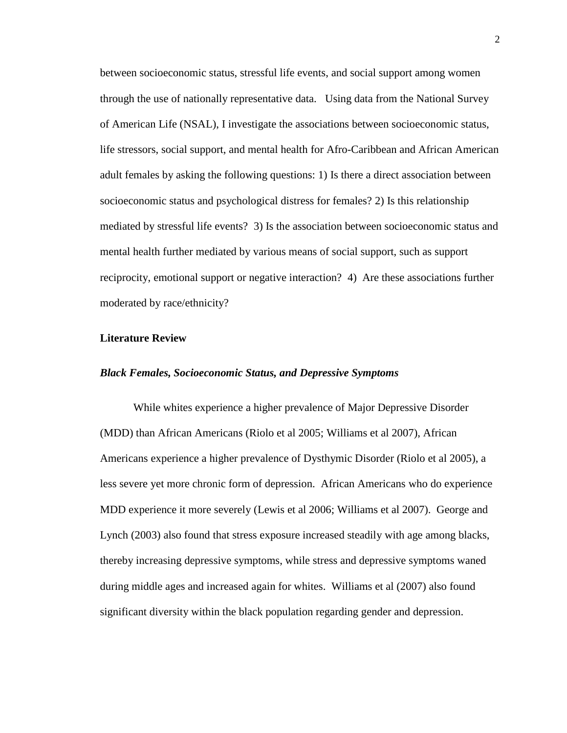between socioeconomic status, stressful life events, and social support among women through the use of nationally representative data. Using data from the National Survey of American Life (NSAL), I investigate the associations between socioeconomic status, life stressors, social support, and mental health for Afro-Caribbean and African American adult females by asking the following questions: 1) Is there a direct association between socioeconomic status and psychological distress for females? 2) Is this relationship mediated by stressful life events? 3) Is the association between socioeconomic status and mental health further mediated by various means of social support, such as support reciprocity, emotional support or negative interaction? 4) Are these associations further moderated by race/ethnicity?

#### **Literature Review**

#### *Black Females, Socioeconomic Status, and Depressive Symptoms*

While whites experience a higher prevalence of Major Depressive Disorder (MDD) than African Americans (Riolo et al 2005; Williams et al 2007), African Americans experience a higher prevalence of Dysthymic Disorder (Riolo et al 2005), a less severe yet more chronic form of depression. African Americans who do experience MDD experience it more severely (Lewis et al 2006; Williams et al 2007). George and Lynch (2003) also found that stress exposure increased steadily with age among blacks, thereby increasing depressive symptoms, while stress and depressive symptoms waned during middle ages and increased again for whites. Williams et al (2007) also found significant diversity within the black population regarding gender and depression.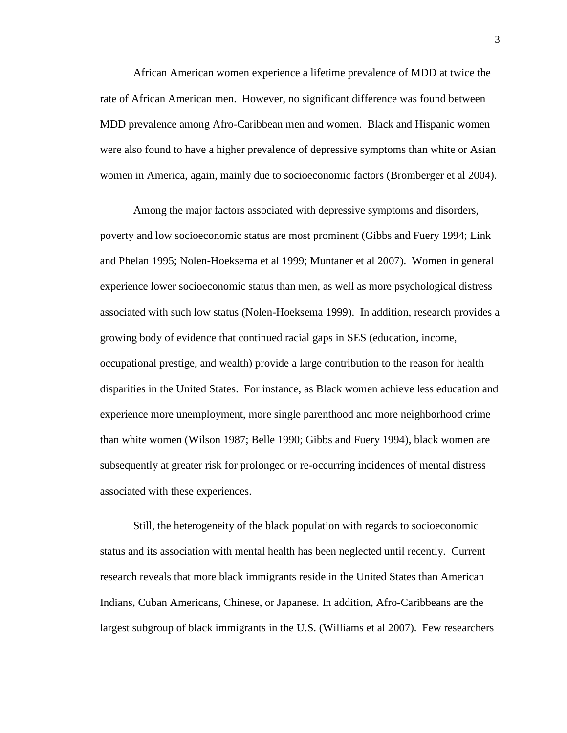African American women experience a lifetime prevalence of MDD at twice the rate of African American men. However, no significant difference was found between MDD prevalence among Afro-Caribbean men and women. Black and Hispanic women were also found to have a higher prevalence of depressive symptoms than white or Asian women in America, again, mainly due to socioeconomic factors (Bromberger et al 2004).

Among the major factors associated with depressive symptoms and disorders, poverty and low socioeconomic status are most prominent (Gibbs and Fuery 1994; Link and Phelan 1995; Nolen-Hoeksema et al 1999; Muntaner et al 2007). Women in general experience lower socioeconomic status than men, as well as more psychological distress associated with such low status (Nolen-Hoeksema 1999). In addition, research provides a growing body of evidence that continued racial gaps in SES (education, income, occupational prestige, and wealth) provide a large contribution to the reason for health disparities in the United States. For instance, as Black women achieve less education and experience more unemployment, more single parenthood and more neighborhood crime than white women (Wilson 1987; Belle 1990; Gibbs and Fuery 1994), black women are subsequently at greater risk for prolonged or re-occurring incidences of mental distress associated with these experiences.

Still, the heterogeneity of the black population with regards to socioeconomic status and its association with mental health has been neglected until recently. Current research reveals that more black immigrants reside in the United States than American Indians, Cuban Americans, Chinese, or Japanese. In addition, Afro-Caribbeans are the largest subgroup of black immigrants in the U.S. (Williams et al 2007). Few researchers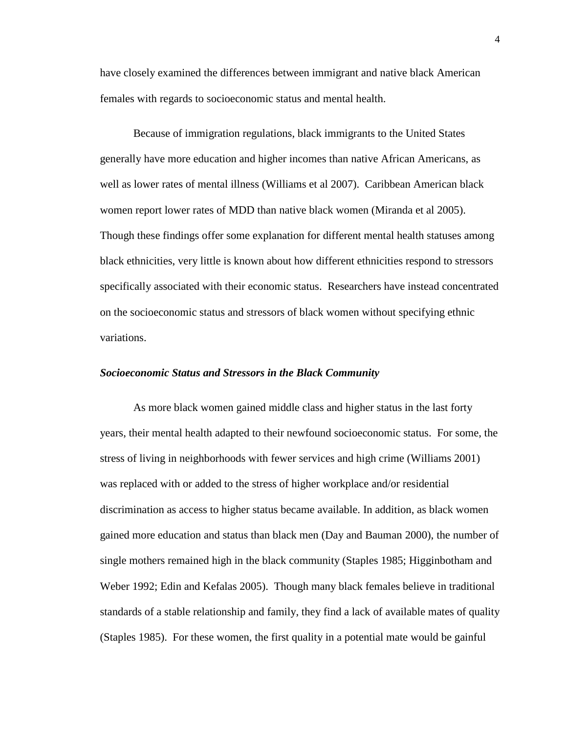have closely examined the differences between immigrant and native black American females with regards to socioeconomic status and mental health.

Because of immigration regulations, black immigrants to the United States generally have more education and higher incomes than native African Americans, as well as lower rates of mental illness (Williams et al 2007). Caribbean American black women report lower rates of MDD than native black women (Miranda et al 2005). Though these findings offer some explanation for different mental health statuses among black ethnicities, very little is known about how different ethnicities respond to stressors specifically associated with their economic status. Researchers have instead concentrated on the socioeconomic status and stressors of black women without specifying ethnic variations.

#### *Socioeconomic Status and Stressors in the Black Community*

As more black women gained middle class and higher status in the last forty years, their mental health adapted to their newfound socioeconomic status. For some, the stress of living in neighborhoods with fewer services and high crime (Williams 2001) was replaced with or added to the stress of higher workplace and/or residential discrimination as access to higher status became available. In addition, as black women gained more education and status than black men (Day and Bauman 2000), the number of single mothers remained high in the black community (Staples 1985; Higginbotham and Weber 1992; Edin and Kefalas 2005). Though many black females believe in traditional standards of a stable relationship and family, they find a lack of available mates of quality (Staples 1985). For these women, the first quality in a potential mate would be gainful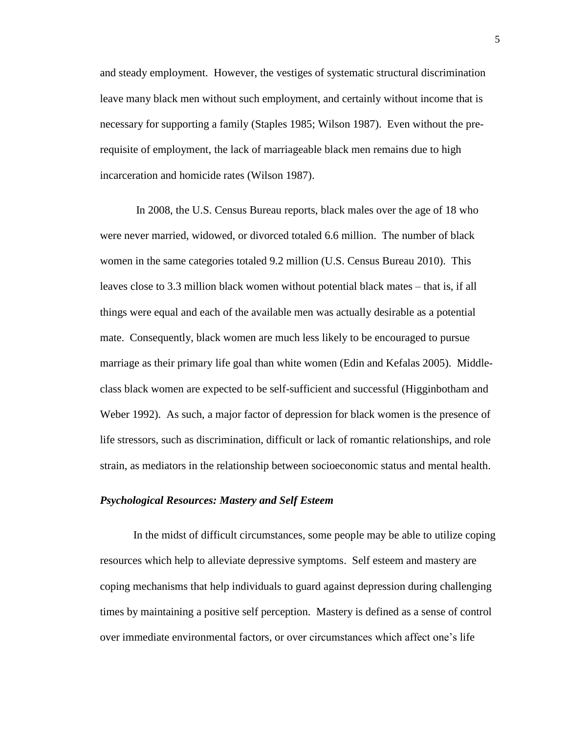and steady employment. However, the vestiges of systematic structural discrimination leave many black men without such employment, and certainly without income that is necessary for supporting a family (Staples 1985; Wilson 1987). Even without the prerequisite of employment, the lack of marriageable black men remains due to high incarceration and homicide rates (Wilson 1987).

In 2008, the U.S. Census Bureau reports, black males over the age of 18 who were never married, widowed, or divorced totaled 6.6 million. The number of black women in the same categories totaled 9.2 million (U.S. Census Bureau 2010). This leaves close to 3.3 million black women without potential black mates – that is, if all things were equal and each of the available men was actually desirable as a potential mate. Consequently, black women are much less likely to be encouraged to pursue marriage as their primary life goal than white women (Edin and Kefalas 2005). Middleclass black women are expected to be self-sufficient and successful (Higginbotham and Weber 1992). As such, a major factor of depression for black women is the presence of life stressors, such as discrimination, difficult or lack of romantic relationships, and role strain, as mediators in the relationship between socioeconomic status and mental health.

#### *Psychological Resources: Mastery and Self Esteem*

In the midst of difficult circumstances, some people may be able to utilize coping resources which help to alleviate depressive symptoms. Self esteem and mastery are coping mechanisms that help individuals to guard against depression during challenging times by maintaining a positive self perception. Mastery is defined as a sense of control over immediate environmental factors, or over circumstances which affect one"s life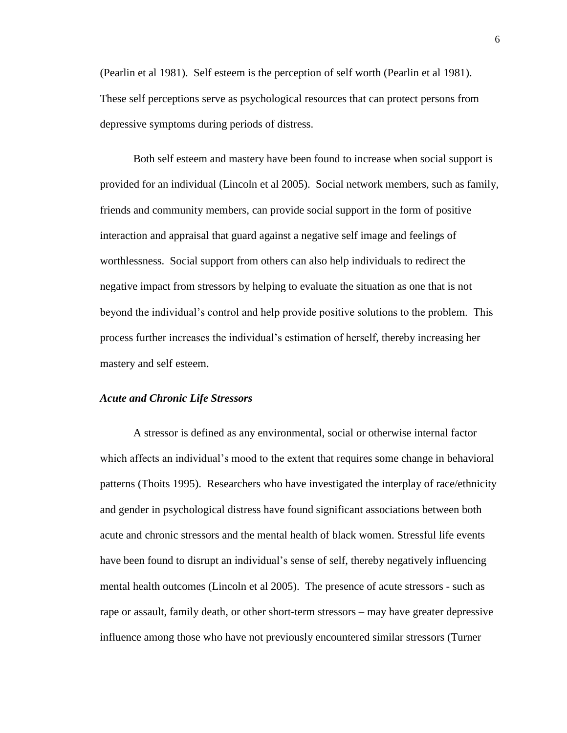(Pearlin et al 1981). Self esteem is the perception of self worth (Pearlin et al 1981). These self perceptions serve as psychological resources that can protect persons from depressive symptoms during periods of distress.

Both self esteem and mastery have been found to increase when social support is provided for an individual (Lincoln et al 2005). Social network members, such as family, friends and community members, can provide social support in the form of positive interaction and appraisal that guard against a negative self image and feelings of worthlessness. Social support from others can also help individuals to redirect the negative impact from stressors by helping to evaluate the situation as one that is not beyond the individual"s control and help provide positive solutions to the problem. This process further increases the individual"s estimation of herself, thereby increasing her mastery and self esteem.

#### *Acute and Chronic Life Stressors*

A stressor is defined as any environmental, social or otherwise internal factor which affects an individual's mood to the extent that requires some change in behavioral patterns (Thoits 1995). Researchers who have investigated the interplay of race/ethnicity and gender in psychological distress have found significant associations between both acute and chronic stressors and the mental health of black women. Stressful life events have been found to disrupt an individual's sense of self, thereby negatively influencing mental health outcomes (Lincoln et al 2005). The presence of acute stressors - such as rape or assault, family death, or other short-term stressors – may have greater depressive influence among those who have not previously encountered similar stressors (Turner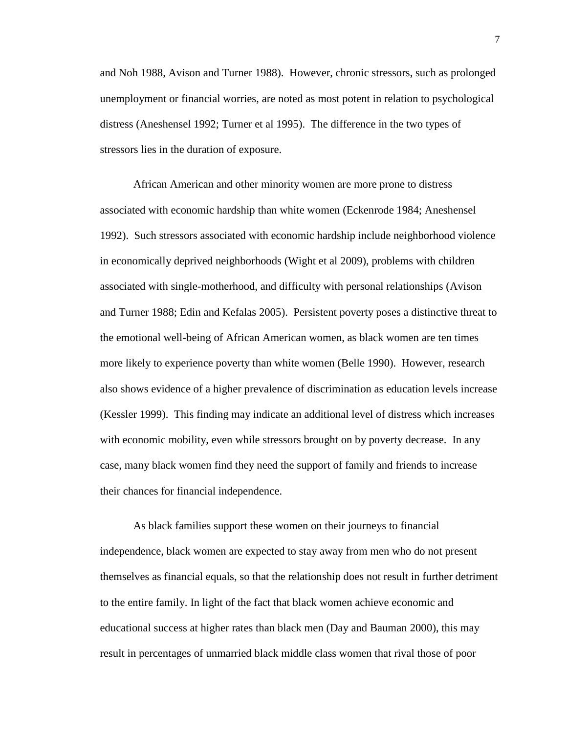and Noh 1988, Avison and Turner 1988). However, chronic stressors, such as prolonged unemployment or financial worries, are noted as most potent in relation to psychological distress (Aneshensel 1992; Turner et al 1995). The difference in the two types of stressors lies in the duration of exposure.

African American and other minority women are more prone to distress associated with economic hardship than white women (Eckenrode 1984; Aneshensel 1992). Such stressors associated with economic hardship include neighborhood violence in economically deprived neighborhoods (Wight et al 2009), problems with children associated with single-motherhood, and difficulty with personal relationships (Avison and Turner 1988; Edin and Kefalas 2005). Persistent poverty poses a distinctive threat to the emotional well-being of African American women, as black women are ten times more likely to experience poverty than white women (Belle 1990). However, research also shows evidence of a higher prevalence of discrimination as education levels increase (Kessler 1999). This finding may indicate an additional level of distress which increases with economic mobility, even while stressors brought on by poverty decrease. In any case, many black women find they need the support of family and friends to increase their chances for financial independence.

As black families support these women on their journeys to financial independence, black women are expected to stay away from men who do not present themselves as financial equals, so that the relationship does not result in further detriment to the entire family. In light of the fact that black women achieve economic and educational success at higher rates than black men (Day and Bauman 2000), this may result in percentages of unmarried black middle class women that rival those of poor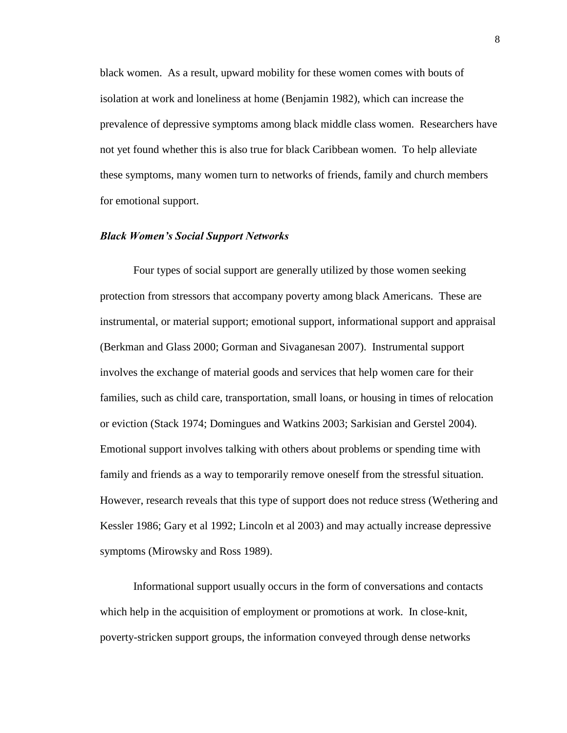black women. As a result, upward mobility for these women comes with bouts of isolation at work and loneliness at home (Benjamin 1982), which can increase the prevalence of depressive symptoms among black middle class women. Researchers have not yet found whether this is also true for black Caribbean women. To help alleviate these symptoms, many women turn to networks of friends, family and church members for emotional support.

#### *Black Women's Social Support Networks*

Four types of social support are generally utilized by those women seeking protection from stressors that accompany poverty among black Americans. These are instrumental, or material support; emotional support, informational support and appraisal (Berkman and Glass 2000; Gorman and Sivaganesan 2007). Instrumental support involves the exchange of material goods and services that help women care for their families, such as child care, transportation, small loans, or housing in times of relocation or eviction (Stack 1974; Domingues and Watkins 2003; Sarkisian and Gerstel 2004). Emotional support involves talking with others about problems or spending time with family and friends as a way to temporarily remove oneself from the stressful situation. However, research reveals that this type of support does not reduce stress (Wethering and Kessler 1986; Gary et al 1992; Lincoln et al 2003) and may actually increase depressive symptoms (Mirowsky and Ross 1989).

Informational support usually occurs in the form of conversations and contacts which help in the acquisition of employment or promotions at work. In close-knit, poverty-stricken support groups, the information conveyed through dense networks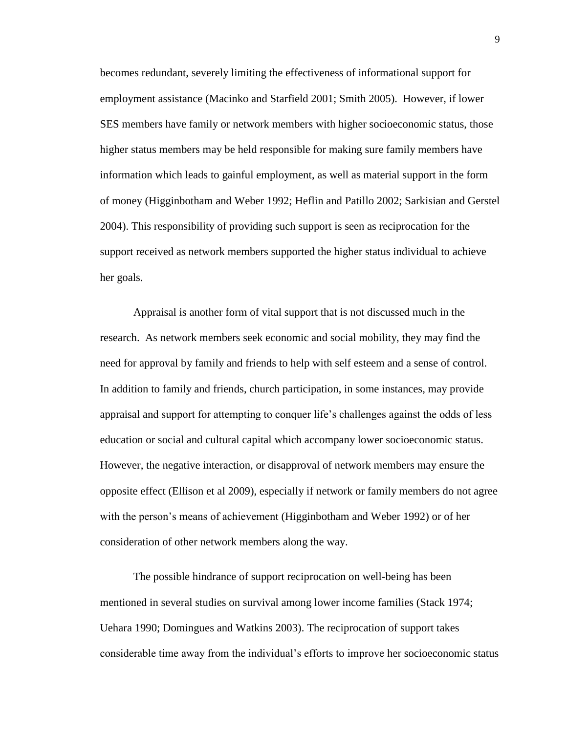becomes redundant, severely limiting the effectiveness of informational support for employment assistance (Macinko and Starfield 2001; Smith 2005). However, if lower SES members have family or network members with higher socioeconomic status, those higher status members may be held responsible for making sure family members have information which leads to gainful employment, as well as material support in the form of money (Higginbotham and Weber 1992; Heflin and Patillo 2002; Sarkisian and Gerstel 2004). This responsibility of providing such support is seen as reciprocation for the support received as network members supported the higher status individual to achieve her goals.

Appraisal is another form of vital support that is not discussed much in the research. As network members seek economic and social mobility, they may find the need for approval by family and friends to help with self esteem and a sense of control. In addition to family and friends, church participation, in some instances, may provide appraisal and support for attempting to conquer life"s challenges against the odds of less education or social and cultural capital which accompany lower socioeconomic status. However, the negative interaction, or disapproval of network members may ensure the opposite effect (Ellison et al 2009), especially if network or family members do not agree with the person's means of achievement (Higginbotham and Weber 1992) or of her consideration of other network members along the way.

The possible hindrance of support reciprocation on well-being has been mentioned in several studies on survival among lower income families (Stack 1974; Uehara 1990; Domingues and Watkins 2003). The reciprocation of support takes considerable time away from the individual"s efforts to improve her socioeconomic status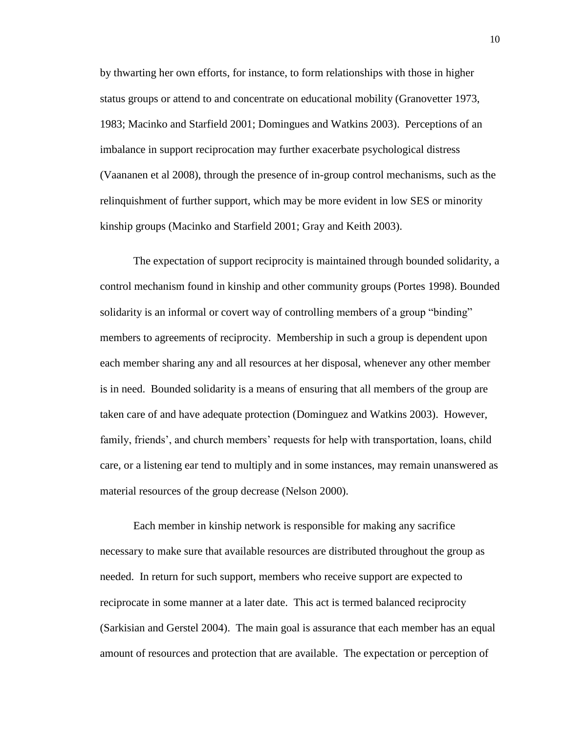by thwarting her own efforts, for instance, to form relationships with those in higher status groups or attend to and concentrate on educational mobility (Granovetter 1973, 1983; Macinko and Starfield 2001; Domingues and Watkins 2003). Perceptions of an imbalance in support reciprocation may further exacerbate psychological distress (Vaananen et al 2008), through the presence of in-group control mechanisms, such as the relinquishment of further support, which may be more evident in low SES or minority kinship groups (Macinko and Starfield 2001; Gray and Keith 2003).

The expectation of support reciprocity is maintained through bounded solidarity, a control mechanism found in kinship and other community groups (Portes 1998). Bounded solidarity is an informal or covert way of controlling members of a group "binding" members to agreements of reciprocity. Membership in such a group is dependent upon each member sharing any and all resources at her disposal, whenever any other member is in need. Bounded solidarity is a means of ensuring that all members of the group are taken care of and have adequate protection (Dominguez and Watkins 2003). However, family, friends', and church members' requests for help with transportation, loans, child care, or a listening ear tend to multiply and in some instances, may remain unanswered as material resources of the group decrease (Nelson 2000).

Each member in kinship network is responsible for making any sacrifice necessary to make sure that available resources are distributed throughout the group as needed. In return for such support, members who receive support are expected to reciprocate in some manner at a later date. This act is termed balanced reciprocity (Sarkisian and Gerstel 2004). The main goal is assurance that each member has an equal amount of resources and protection that are available. The expectation or perception of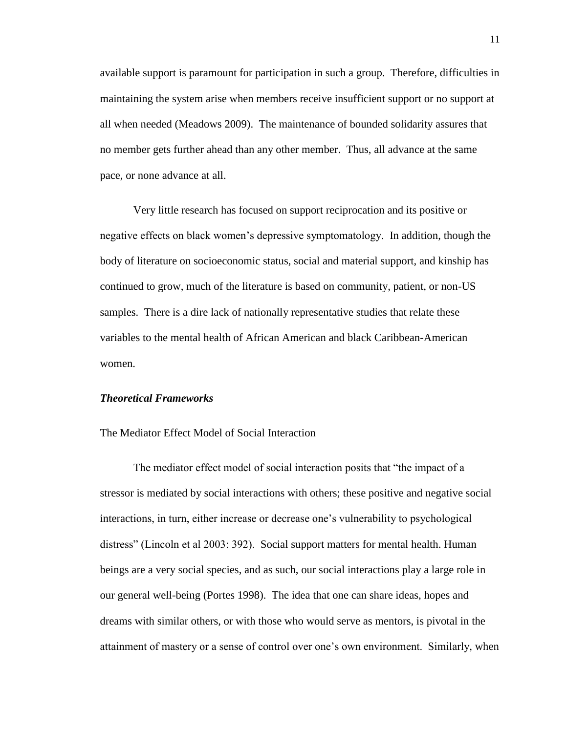available support is paramount for participation in such a group. Therefore, difficulties in maintaining the system arise when members receive insufficient support or no support at all when needed (Meadows 2009). The maintenance of bounded solidarity assures that no member gets further ahead than any other member. Thus, all advance at the same pace, or none advance at all.

Very little research has focused on support reciprocation and its positive or negative effects on black women"s depressive symptomatology. In addition, though the body of literature on socioeconomic status, social and material support, and kinship has continued to grow, much of the literature is based on community, patient, or non-US samples. There is a dire lack of nationally representative studies that relate these variables to the mental health of African American and black Caribbean-American women.

#### *Theoretical Frameworks*

The Mediator Effect Model of Social Interaction

The mediator effect model of social interaction posits that "the impact of a stressor is mediated by social interactions with others; these positive and negative social interactions, in turn, either increase or decrease one's vulnerability to psychological distress" (Lincoln et al 2003: 392). Social support matters for mental health. Human beings are a very social species, and as such, our social interactions play a large role in our general well-being (Portes 1998). The idea that one can share ideas, hopes and dreams with similar others, or with those who would serve as mentors, is pivotal in the attainment of mastery or a sense of control over one"s own environment. Similarly, when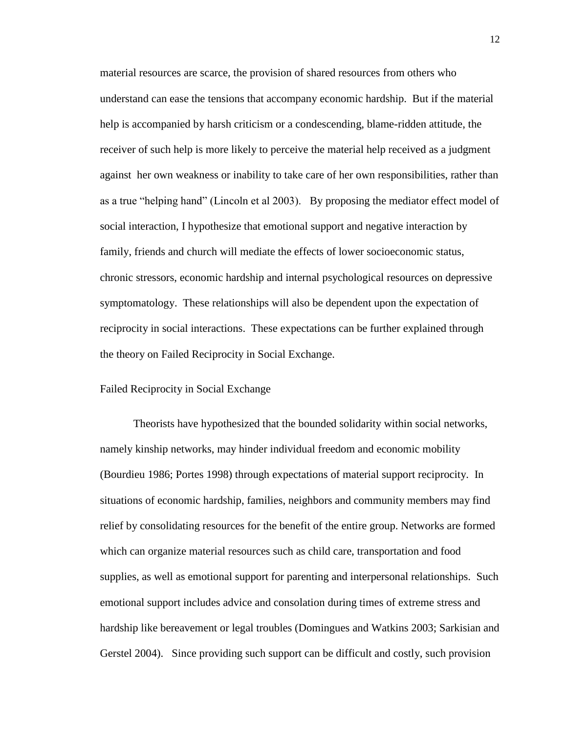material resources are scarce, the provision of shared resources from others who understand can ease the tensions that accompany economic hardship. But if the material help is accompanied by harsh criticism or a condescending, blame-ridden attitude, the receiver of such help is more likely to perceive the material help received as a judgment against her own weakness or inability to take care of her own responsibilities, rather than as a true "helping hand" (Lincoln et al 2003). By proposing the mediator effect model of social interaction, I hypothesize that emotional support and negative interaction by family, friends and church will mediate the effects of lower socioeconomic status, chronic stressors, economic hardship and internal psychological resources on depressive symptomatology. These relationships will also be dependent upon the expectation of reciprocity in social interactions. These expectations can be further explained through the theory on Failed Reciprocity in Social Exchange.

#### Failed Reciprocity in Social Exchange

Theorists have hypothesized that the bounded solidarity within social networks, namely kinship networks, may hinder individual freedom and economic mobility (Bourdieu 1986; Portes 1998) through expectations of material support reciprocity. In situations of economic hardship, families, neighbors and community members may find relief by consolidating resources for the benefit of the entire group. Networks are formed which can organize material resources such as child care, transportation and food supplies, as well as emotional support for parenting and interpersonal relationships. Such emotional support includes advice and consolation during times of extreme stress and hardship like bereavement or legal troubles (Domingues and Watkins 2003; Sarkisian and Gerstel 2004). Since providing such support can be difficult and costly, such provision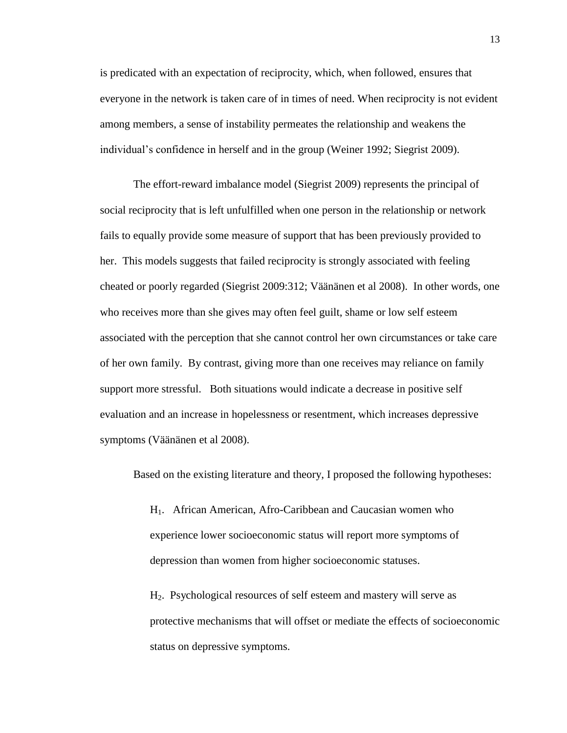is predicated with an expectation of reciprocity, which, when followed, ensures that everyone in the network is taken care of in times of need. When reciprocity is not evident among members, a sense of instability permeates the relationship and weakens the individual"s confidence in herself and in the group (Weiner 1992; Siegrist 2009).

The effort-reward imbalance model (Siegrist 2009) represents the principal of social reciprocity that is left unfulfilled when one person in the relationship or network fails to equally provide some measure of support that has been previously provided to her. This models suggests that failed reciprocity is strongly associated with feeling cheated or poorly regarded (Siegrist 2009:312; Väänänen et al 2008). In other words, one who receives more than she gives may often feel guilt, shame or low self esteem associated with the perception that she cannot control her own circumstances or take care of her own family. By contrast, giving more than one receives may reliance on family support more stressful. Both situations would indicate a decrease in positive self evaluation and an increase in hopelessness or resentment, which increases depressive symptoms (Väänänen et al 2008).

Based on the existing literature and theory, I proposed the following hypotheses:

H1. African American, Afro-Caribbean and Caucasian women who experience lower socioeconomic status will report more symptoms of depression than women from higher socioeconomic statuses.

H2. Psychological resources of self esteem and mastery will serve as protective mechanisms that will offset or mediate the effects of socioeconomic status on depressive symptoms.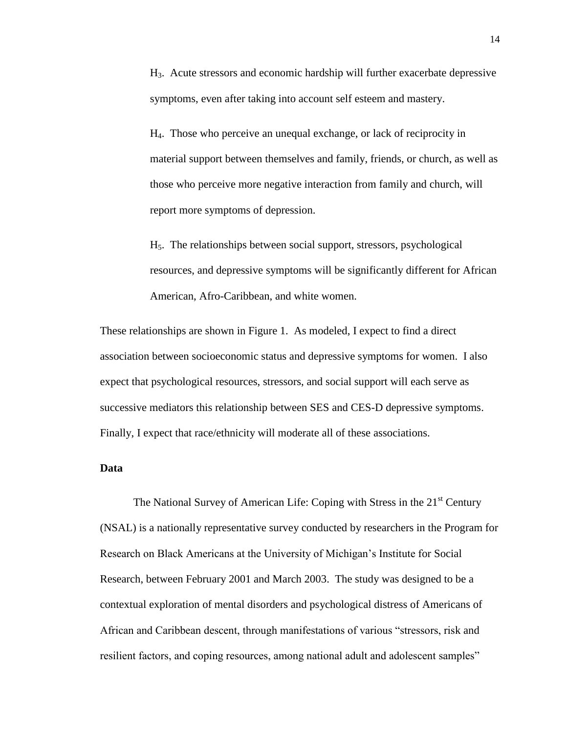H3. Acute stressors and economic hardship will further exacerbate depressive symptoms, even after taking into account self esteem and mastery.

H4. Those who perceive an unequal exchange, or lack of reciprocity in material support between themselves and family, friends, or church, as well as those who perceive more negative interaction from family and church, will report more symptoms of depression.

H5. The relationships between social support, stressors, psychological resources, and depressive symptoms will be significantly different for African American, Afro-Caribbean, and white women.

These relationships are shown in Figure 1. As modeled, I expect to find a direct association between socioeconomic status and depressive symptoms for women. I also expect that psychological resources, stressors, and social support will each serve as successive mediators this relationship between SES and CES-D depressive symptoms. Finally, I expect that race/ethnicity will moderate all of these associations.

#### **Data**

The National Survey of American Life: Coping with Stress in the 21<sup>st</sup> Century (NSAL) is a nationally representative survey conducted by researchers in the Program for Research on Black Americans at the University of Michigan"s Institute for Social Research, between February 2001 and March 2003. The study was designed to be a contextual exploration of mental disorders and psychological distress of Americans of African and Caribbean descent, through manifestations of various "stressors, risk and resilient factors, and coping resources, among national adult and adolescent samples"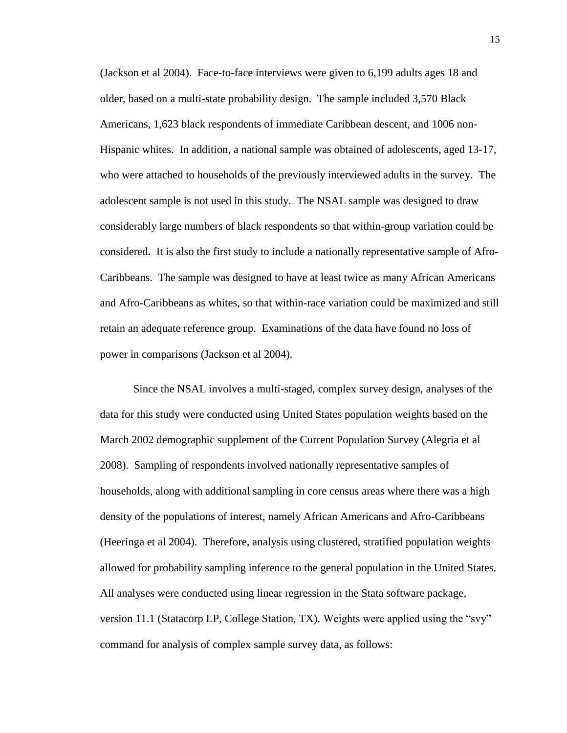(Jackson et al 2004). Face-to-face interviews were given to 6,199 adults ages 18 and older, based on a multi-state probability design. The sample included 3,570 Black Americans, 1,623 black respondents of immediate Caribbean descent, and 1006 non-Hispanic whites. In addition, a national sample was obtained of adolescents, aged 13-17, who were attached to households of the previously interviewed adults in the survey. The adolescent sample is not used in this study. The NSAL sample was designed to draw considerably large numbers of black respondents so that within-group variation could be considered. It is also the first study to include a nationally representative sample of Afro-Caribbeans. The sample was designed to have at least twice as many African Americans and Afro-Caribbeans as whites, so that within-race variation could be maximized and still retain an adequate reference group. Examinations of the data have found no loss of power in comparisons (Jackson et al 2004).

Since the NSAL involves a multi-staged, complex survey design, analyses of the data for this study were conducted using United States population weights based on the March 2002 demographic supplement of the Current Population Survey (Alegria et al 2008). Sampling of respondents involved nationally representative samples of households, along with additional sampling in core census areas where there was a high density of the populations of interest, namely African Americans and Afro-Caribbeans (Heeringa et al 2004). Therefore, analysis using clustered, stratified population weights allowed for probability sampling inference to the general population in the United States. All analyses were conducted using linear regression in the Stata software package, version 11.1 (Statacorp LP, College Station, TX). Weights were applied using the "svy" command for analysis of complex sample survey data, as follows: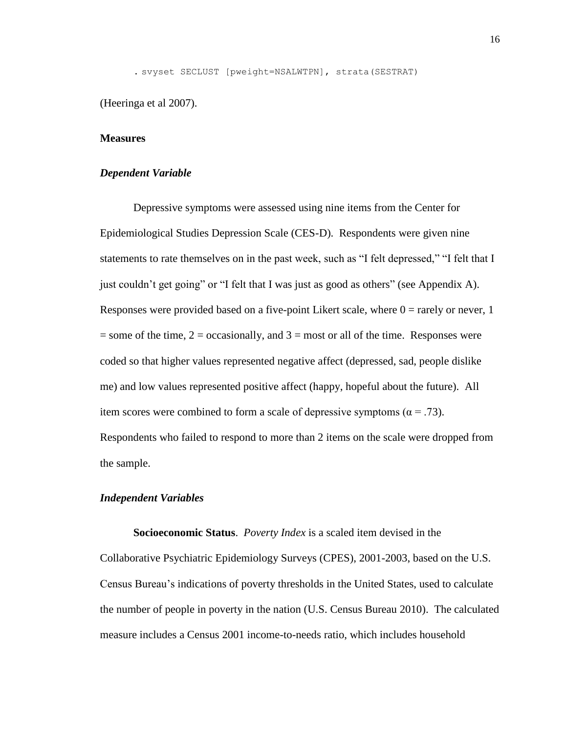. svyset SECLUST [pweight=NSALWTPN], strata(SESTRAT)

(Heeringa et al 2007).

#### **Measures**

#### *Dependent Variable*

Depressive symptoms were assessed using nine items from the Center for Epidemiological Studies Depression Scale (CES-D). Respondents were given nine statements to rate themselves on in the past week, such as "I felt depressed," "I felt that I just couldn"t get going" or "I felt that I was just as good as others" (see Appendix A). Responses were provided based on a five-point Likert scale, where  $0 =$  rarely or never, 1  $=$  some of the time,  $2 =$  occasionally, and  $3 =$  most or all of the time. Responses were coded so that higher values represented negative affect (depressed, sad, people dislike me) and low values represented positive affect (happy, hopeful about the future). All item scores were combined to form a scale of depressive symptoms ( $\alpha = .73$ ). Respondents who failed to respond to more than 2 items on the scale were dropped from the sample.

#### *Independent Variables*

**Socioeconomic Status**. *Poverty Index* is a scaled item devised in the Collaborative Psychiatric Epidemiology Surveys (CPES), 2001-2003, based on the U.S. Census Bureau"s indications of poverty thresholds in the United States, used to calculate the number of people in poverty in the nation (U.S. Census Bureau 2010). The calculated measure includes a Census 2001 income-to-needs ratio, which includes household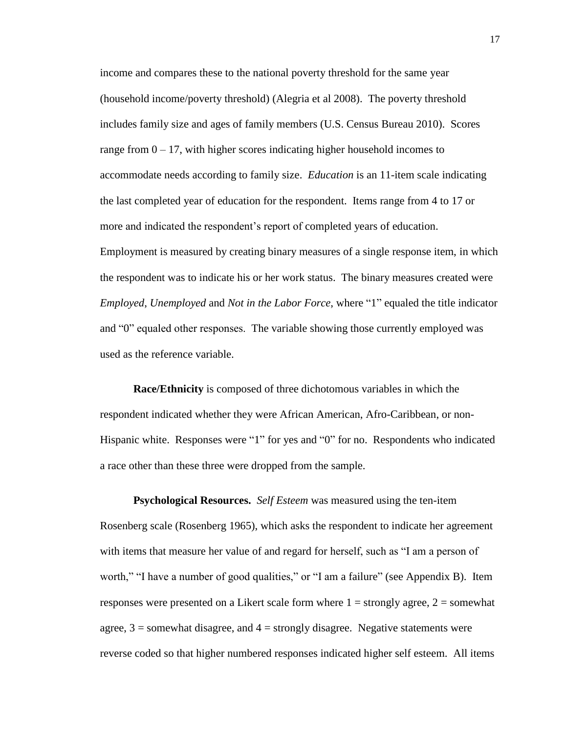income and compares these to the national poverty threshold for the same year (household income/poverty threshold) (Alegria et al 2008). The poverty threshold includes family size and ages of family members (U.S. Census Bureau 2010). Scores range from  $0 - 17$ , with higher scores indicating higher household incomes to accommodate needs according to family size. *Education* is an 11-item scale indicating the last completed year of education for the respondent. Items range from 4 to 17 or more and indicated the respondent's report of completed years of education. Employment is measured by creating binary measures of a single response item, in which the respondent was to indicate his or her work status. The binary measures created were *Employed*, *Unemployed* and *Not in the Labor Force*, where "1" equaled the title indicator and "0" equaled other responses. The variable showing those currently employed was used as the reference variable.

**Race/Ethnicity** is composed of three dichotomous variables in which the respondent indicated whether they were African American, Afro-Caribbean, or non-Hispanic white. Responses were "1" for yes and "0" for no. Respondents who indicated a race other than these three were dropped from the sample.

**Psychological Resources.** *Self Esteem* was measured using the ten-item Rosenberg scale (Rosenberg 1965), which asks the respondent to indicate her agreement with items that measure her value of and regard for herself, such as "I am a person of worth," "I have a number of good qualities," or "I am a failure" (see Appendix B). Item responses were presented on a Likert scale form where  $1 =$  strongly agree,  $2 =$  somewhat agree,  $3 =$  somewhat disagree, and  $4 =$  strongly disagree. Negative statements were reverse coded so that higher numbered responses indicated higher self esteem. All items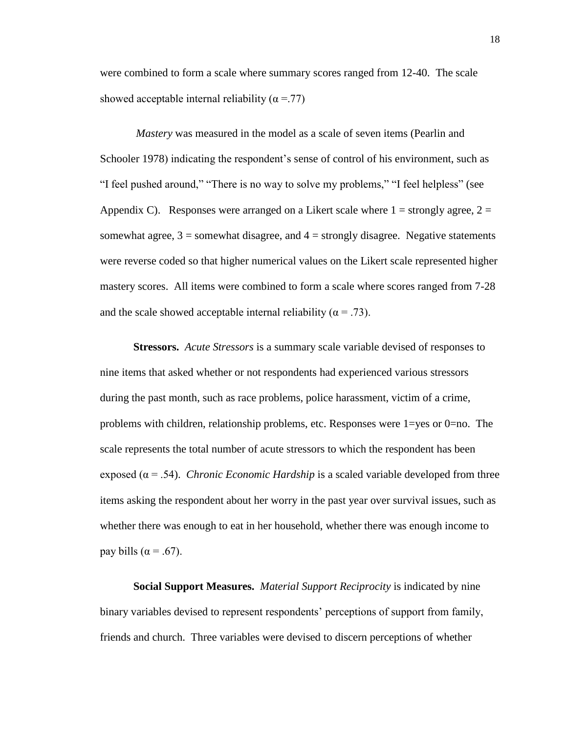were combined to form a scale where summary scores ranged from 12-40. The scale showed acceptable internal reliability ( $\alpha$  =.77)

*Mastery* was measured in the model as a scale of seven items (Pearlin and Schooler 1978) indicating the respondent's sense of control of his environment, such as "I feel pushed around," "There is no way to solve my problems," "I feel helpless" (see Appendix C). Responses were arranged on a Likert scale where  $1 =$  strongly agree,  $2 =$ somewhat agree,  $3 =$  somewhat disagree, and  $4 =$  strongly disagree. Negative statements were reverse coded so that higher numerical values on the Likert scale represented higher mastery scores. All items were combined to form a scale where scores ranged from 7-28 and the scale showed acceptable internal reliability ( $\alpha = .73$ ).

**Stressors.** *Acute Stressors* is a summary scale variable devised of responses to nine items that asked whether or not respondents had experienced various stressors during the past month, such as race problems, police harassment, victim of a crime, problems with children, relationship problems, etc. Responses were 1=yes or 0=no. The scale represents the total number of acute stressors to which the respondent has been exposed ( $\alpha$  = .54). *Chronic Economic Hardship* is a scaled variable developed from three items asking the respondent about her worry in the past year over survival issues, such as whether there was enough to eat in her household, whether there was enough income to pay bills ( $\alpha$  = .67).

**Social Support Measures.** *Material Support Reciprocity* is indicated by nine binary variables devised to represent respondents' perceptions of support from family, friends and church. Three variables were devised to discern perceptions of whether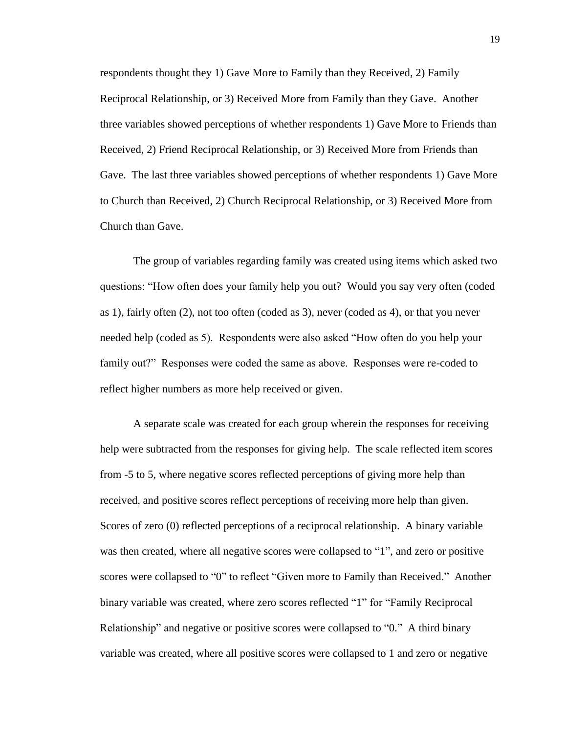respondents thought they 1) Gave More to Family than they Received, 2) Family Reciprocal Relationship, or 3) Received More from Family than they Gave. Another three variables showed perceptions of whether respondents 1) Gave More to Friends than Received, 2) Friend Reciprocal Relationship, or 3) Received More from Friends than Gave. The last three variables showed perceptions of whether respondents 1) Gave More to Church than Received, 2) Church Reciprocal Relationship, or 3) Received More from Church than Gave.

The group of variables regarding family was created using items which asked two questions: "How often does your family help you out? Would you say very often (coded as 1), fairly often (2), not too often (coded as 3), never (coded as 4), or that you never needed help (coded as 5). Respondents were also asked "How often do you help your family out?" Responses were coded the same as above. Responses were re-coded to reflect higher numbers as more help received or given.

A separate scale was created for each group wherein the responses for receiving help were subtracted from the responses for giving help. The scale reflected item scores from -5 to 5, where negative scores reflected perceptions of giving more help than received, and positive scores reflect perceptions of receiving more help than given. Scores of zero (0) reflected perceptions of a reciprocal relationship. A binary variable was then created, where all negative scores were collapsed to "1", and zero or positive scores were collapsed to "0" to reflect "Given more to Family than Received." Another binary variable was created, where zero scores reflected "1" for "Family Reciprocal Relationship" and negative or positive scores were collapsed to "0." A third binary variable was created, where all positive scores were collapsed to 1 and zero or negative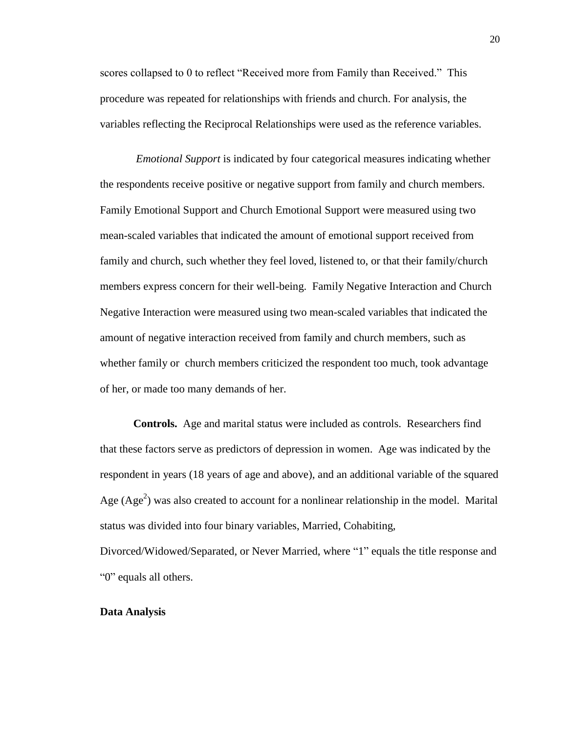scores collapsed to 0 to reflect "Received more from Family than Received." This procedure was repeated for relationships with friends and church. For analysis, the variables reflecting the Reciprocal Relationships were used as the reference variables.

*Emotional Support* is indicated by four categorical measures indicating whether the respondents receive positive or negative support from family and church members. Family Emotional Support and Church Emotional Support were measured using two mean-scaled variables that indicated the amount of emotional support received from family and church, such whether they feel loved, listened to, or that their family/church members express concern for their well-being. Family Negative Interaction and Church Negative Interaction were measured using two mean-scaled variables that indicated the amount of negative interaction received from family and church members, such as whether family or church members criticized the respondent too much, took advantage of her, or made too many demands of her.

**Controls.** Age and marital status were included as controls. Researchers find that these factors serve as predictors of depression in women. Age was indicated by the respondent in years (18 years of age and above), and an additional variable of the squared Age  $(Age^2)$  was also created to account for a nonlinear relationship in the model. Marital status was divided into four binary variables, Married, Cohabiting,

Divorced/Widowed/Separated, or Never Married, where "1" equals the title response and "0" equals all others.

#### **Data Analysis**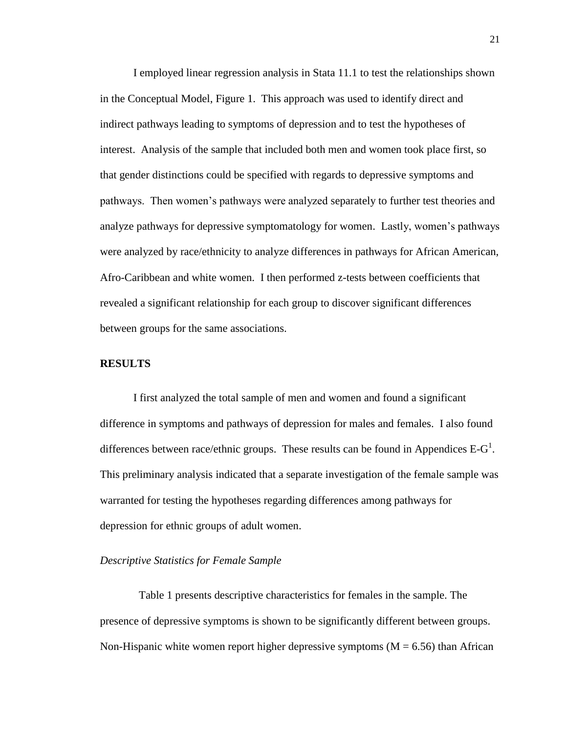I employed linear regression analysis in Stata 11.1 to test the relationships shown in the Conceptual Model, Figure 1. This approach was used to identify direct and indirect pathways leading to symptoms of depression and to test the hypotheses of interest. Analysis of the sample that included both men and women took place first, so that gender distinctions could be specified with regards to depressive symptoms and pathways. Then women"s pathways were analyzed separately to further test theories and analyze pathways for depressive symptomatology for women. Lastly, women"s pathways were analyzed by race/ethnicity to analyze differences in pathways for African American, Afro-Caribbean and white women. I then performed z-tests between coefficients that revealed a significant relationship for each group to discover significant differences between groups for the same associations.

#### **RESULTS**

I first analyzed the total sample of men and women and found a significant difference in symptoms and pathways of depression for males and females. I also found differences between race/ethnic groups. These results can be found in Appendices  $E-G^1$ . This preliminary analysis indicated that a separate investigation of the female sample was warranted for testing the hypotheses regarding differences among pathways for depression for ethnic groups of adult women.

#### *Descriptive Statistics for Female Sample*

 Table 1 presents descriptive characteristics for females in the sample. The presence of depressive symptoms is shown to be significantly different between groups. Non-Hispanic white women report higher depressive symptoms  $(M = 6.56)$  than African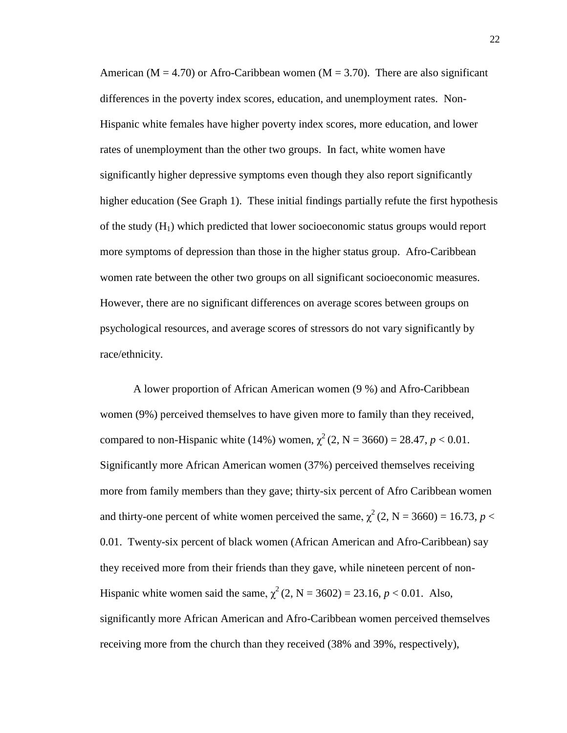American ( $M = 4.70$ ) or Afro-Caribbean women ( $M = 3.70$ ). There are also significant differences in the poverty index scores, education, and unemployment rates. Non-Hispanic white females have higher poverty index scores, more education, and lower rates of unemployment than the other two groups. In fact, white women have significantly higher depressive symptoms even though they also report significantly higher education (See Graph 1). These initial findings partially refute the first hypothesis of the study  $(H<sub>1</sub>)$  which predicted that lower socioeconomic status groups would report more symptoms of depression than those in the higher status group. Afro-Caribbean women rate between the other two groups on all significant socioeconomic measures. However, there are no significant differences on average scores between groups on psychological resources, and average scores of stressors do not vary significantly by race/ethnicity.

A lower proportion of African American women (9 %) and Afro-Caribbean women (9%) perceived themselves to have given more to family than they received, compared to non-Hispanic white (14%) women,  $\chi^2$  (2, N = 3660) = 28.47, *p* < 0.01. Significantly more African American women (37%) perceived themselves receiving more from family members than they gave; thirty-six percent of Afro Caribbean women and thirty-one percent of white women perceived the same,  $\chi^2$  (2, N = 3660) = 16.73, *p* < 0.01. Twenty-six percent of black women (African American and Afro-Caribbean) say they received more from their friends than they gave, while nineteen percent of non-Hispanic white women said the same,  $\chi^2$  (2, N = 3602) = 23.16, *p* < 0.01. Also, significantly more African American and Afro-Caribbean women perceived themselves receiving more from the church than they received (38% and 39%, respectively),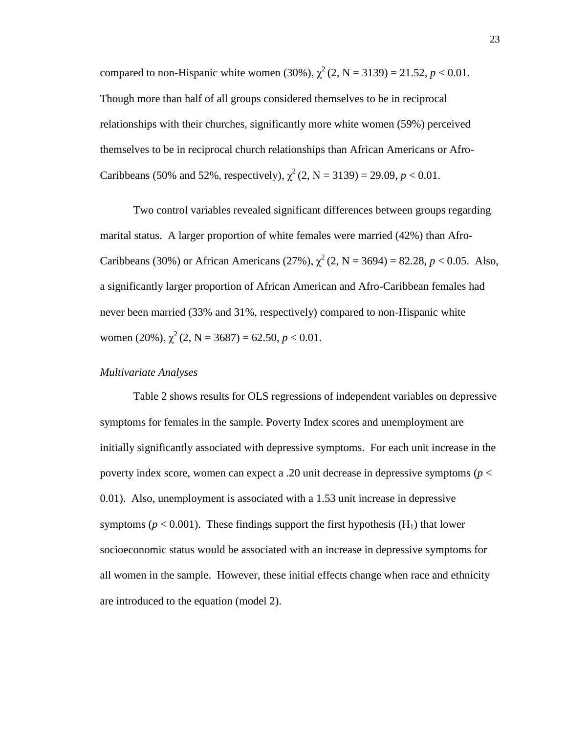compared to non-Hispanic white women (30%),  $\chi^2$  (2, N = 3139) = 21.52, *p* < 0.01. Though more than half of all groups considered themselves to be in reciprocal relationships with their churches, significantly more white women (59%) perceived themselves to be in reciprocal church relationships than African Americans or Afro-Caribbeans (50% and 52%, respectively),  $\chi^2$  (2, N = 3139) = 29.09, *p* < 0.01.

Two control variables revealed significant differences between groups regarding marital status. A larger proportion of white females were married (42%) than Afro-Caribbeans (30%) or African Americans (27%),  $\chi^2$  (2, N = 3694) = 82.28, *p* < 0.05. Also, a significantly larger proportion of African American and Afro-Caribbean females had never been married (33% and 31%, respectively) compared to non-Hispanic white women (20%),  $\chi^2$  (2, N = 3687) = 62.50, *p* < 0.01.

### *Multivariate Analyses*

Table 2 shows results for OLS regressions of independent variables on depressive symptoms for females in the sample. Poverty Index scores and unemployment are initially significantly associated with depressive symptoms. For each unit increase in the poverty index score, women can expect a .20 unit decrease in depressive symptoms (*p* < 0.01). Also, unemployment is associated with a 1.53 unit increase in depressive symptoms ( $p < 0.001$ ). These findings support the first hypothesis ( $H_1$ ) that lower socioeconomic status would be associated with an increase in depressive symptoms for all women in the sample. However, these initial effects change when race and ethnicity are introduced to the equation (model 2).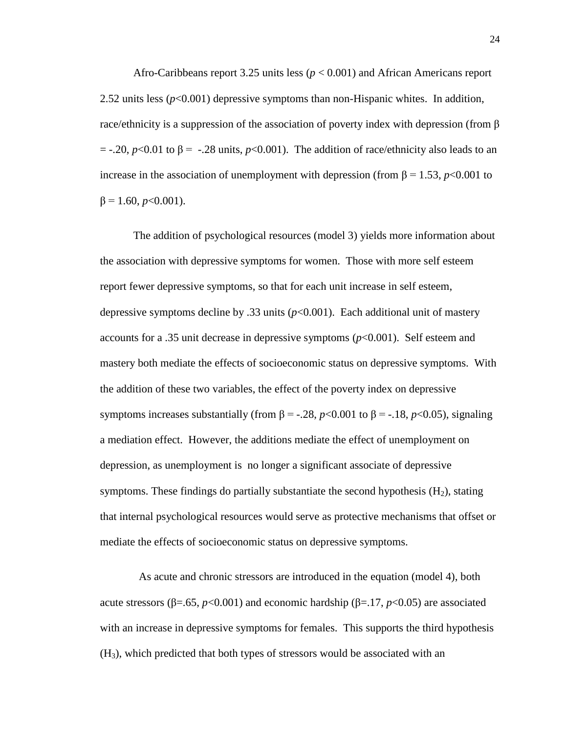Afro-Caribbeans report 3.25 units less (*p* < 0.001) and African Americans report 2.52 units less  $(p<0.001)$  depressive symptoms than non-Hispanic whites. In addition, race/ethnicity is a suppression of the association of poverty index with depression (from β  $=$  -.20, *p*<0.01 to  $\beta$  = -.28 units, *p*<0.001). The addition of race/ethnicity also leads to an increase in the association of unemployment with depression (from  $\beta$  = 1.53, *p*<0.001 to  $β = 1.60, p < 0.001$ ).

The addition of psychological resources (model 3) yields more information about the association with depressive symptoms for women. Those with more self esteem report fewer depressive symptoms, so that for each unit increase in self esteem, depressive symptoms decline by .33 units (*p*<0.001). Each additional unit of mastery accounts for a .35 unit decrease in depressive symptoms (*p*<0.001). Self esteem and mastery both mediate the effects of socioeconomic status on depressive symptoms. With the addition of these two variables, the effect of the poverty index on depressive symptoms increases substantially (from  $\beta$  = -.28, *p*<0.001 to  $\beta$  = -.18, *p*<0.05), signaling a mediation effect. However, the additions mediate the effect of unemployment on depression, as unemployment is no longer a significant associate of depressive symptoms. These findings do partially substantiate the second hypothesis  $(H_2)$ , stating that internal psychological resources would serve as protective mechanisms that offset or mediate the effects of socioeconomic status on depressive symptoms.

 As acute and chronic stressors are introduced in the equation (model 4), both acute stressors ( $\beta$ =.65, *p*<0.001) and economic hardship ( $\beta$ =.17, *p*<0.05) are associated with an increase in depressive symptoms for females. This supports the third hypothesis  $(H<sub>3</sub>)$ , which predicted that both types of stressors would be associated with an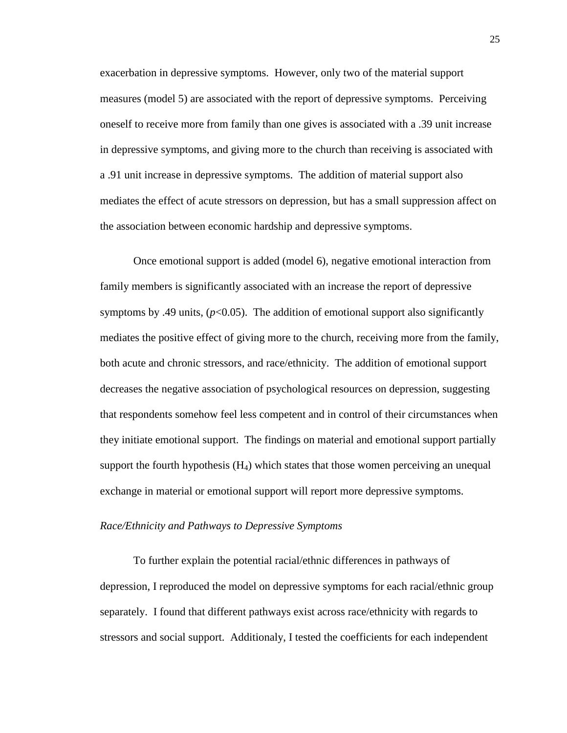exacerbation in depressive symptoms. However, only two of the material support measures (model 5) are associated with the report of depressive symptoms. Perceiving oneself to receive more from family than one gives is associated with a .39 unit increase in depressive symptoms, and giving more to the church than receiving is associated with a .91 unit increase in depressive symptoms. The addition of material support also mediates the effect of acute stressors on depression, but has a small suppression affect on the association between economic hardship and depressive symptoms.

Once emotional support is added (model 6), negative emotional interaction from family members is significantly associated with an increase the report of depressive symptoms by .49 units,  $(p<0.05)$ . The addition of emotional support also significantly mediates the positive effect of giving more to the church, receiving more from the family, both acute and chronic stressors, and race/ethnicity. The addition of emotional support decreases the negative association of psychological resources on depression, suggesting that respondents somehow feel less competent and in control of their circumstances when they initiate emotional support. The findings on material and emotional support partially support the fourth hypothesis  $(H_4)$  which states that those women perceiving an unequal exchange in material or emotional support will report more depressive symptoms.

#### *Race/Ethnicity and Pathways to Depressive Symptoms*

To further explain the potential racial/ethnic differences in pathways of depression, I reproduced the model on depressive symptoms for each racial/ethnic group separately. I found that different pathways exist across race/ethnicity with regards to stressors and social support. Additionaly, I tested the coefficients for each independent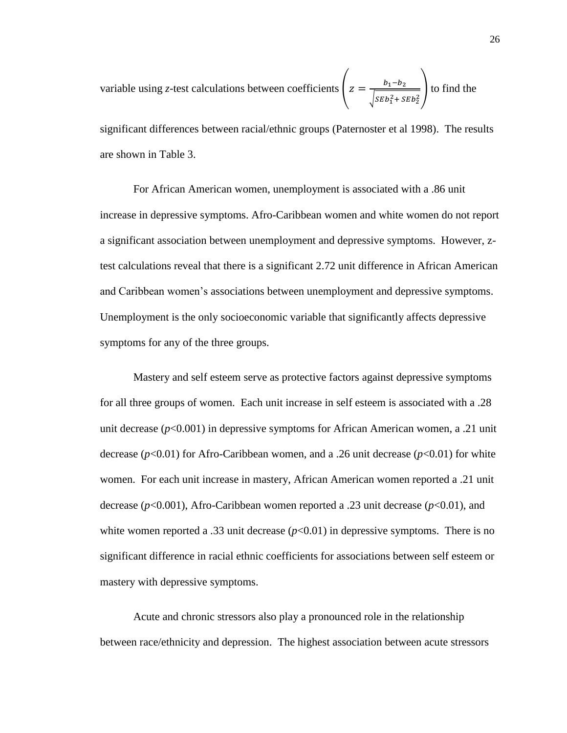variable using *z*-test calculations between coefficients  $z = \frac{b}{\sqrt{a^2 + b^2}}$  $\frac{b_1 - b_2}{\sqrt{SEb_1^2 + SEb_2^2}}$  to find the

significant differences between racial/ethnic groups (Paternoster et al 1998). The results are shown in Table 3.

For African American women, unemployment is associated with a .86 unit increase in depressive symptoms. Afro-Caribbean women and white women do not report a significant association between unemployment and depressive symptoms. However, ztest calculations reveal that there is a significant 2.72 unit difference in African American and Caribbean women"s associations between unemployment and depressive symptoms. Unemployment is the only socioeconomic variable that significantly affects depressive symptoms for any of the three groups.

Mastery and self esteem serve as protective factors against depressive symptoms for all three groups of women. Each unit increase in self esteem is associated with a .28 unit decrease (*p*<0.001) in depressive symptoms for African American women, a .21 unit decrease (*p*<0.01) for Afro-Caribbean women, and a .26 unit decrease (*p*<0.01) for white women. For each unit increase in mastery, African American women reported a .21 unit decrease (*p*<0.001), Afro-Caribbean women reported a .23 unit decrease (*p*<0.01), and white women reported a .33 unit decrease  $(p<0.01)$  in depressive symptoms. There is no significant difference in racial ethnic coefficients for associations between self esteem or mastery with depressive symptoms.

Acute and chronic stressors also play a pronounced role in the relationship between race/ethnicity and depression. The highest association between acute stressors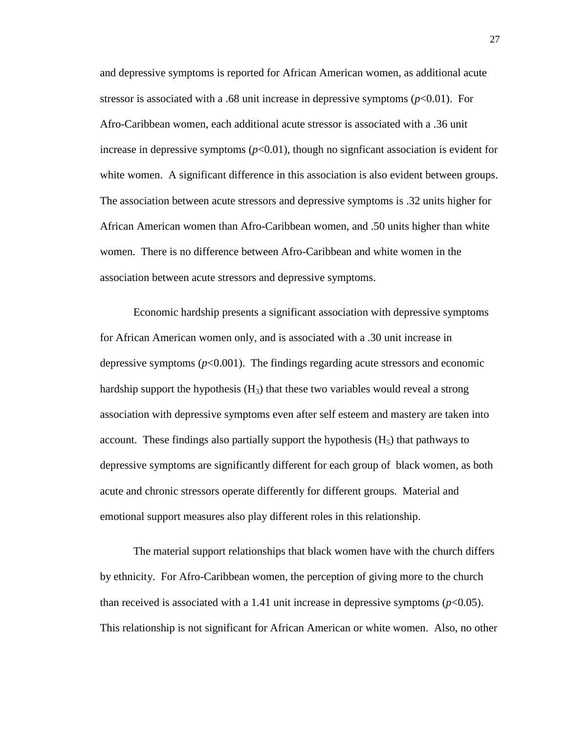and depressive symptoms is reported for African American women, as additional acute stressor is associated with a .68 unit increase in depressive symptoms  $(p<0.01)$ . For Afro-Caribbean women, each additional acute stressor is associated with a .36 unit increase in depressive symptoms  $(p<0.01)$ , though no signficant association is evident for white women. A significant difference in this association is also evident between groups. The association between acute stressors and depressive symptoms is .32 units higher for African American women than Afro-Caribbean women, and .50 units higher than white women. There is no difference between Afro-Caribbean and white women in the association between acute stressors and depressive symptoms.

Economic hardship presents a significant association with depressive symptoms for African American women only, and is associated with a .30 unit increase in depressive symptoms  $(p<0.001)$ . The findings regarding acute stressors and economic hardship support the hypothesis  $(H_3)$  that these two variables would reveal a strong association with depressive symptoms even after self esteem and mastery are taken into account. These findings also partially support the hypothesis  $(H<sub>5</sub>)$  that pathways to depressive symptoms are significantly different for each group of black women, as both acute and chronic stressors operate differently for different groups. Material and emotional support measures also play different roles in this relationship.

The material support relationships that black women have with the church differs by ethnicity. For Afro-Caribbean women, the perception of giving more to the church than received is associated with a 1.41 unit increase in depressive symptoms  $(p<0.05)$ . This relationship is not significant for African American or white women. Also, no other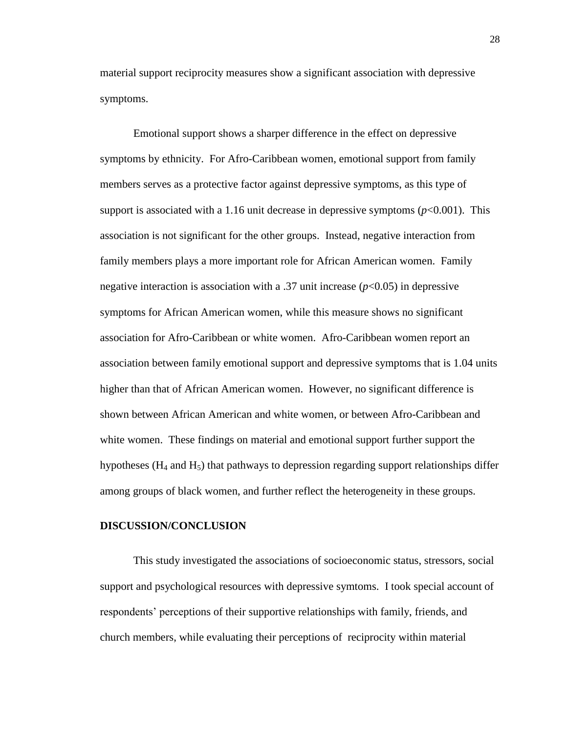material support reciprocity measures show a significant association with depressive symptoms.

Emotional support shows a sharper difference in the effect on depressive symptoms by ethnicity. For Afro-Caribbean women, emotional support from family members serves as a protective factor against depressive symptoms, as this type of support is associated with a 1.16 unit decrease in depressive symptoms  $(p<0.001)$ . This association is not significant for the other groups. Instead, negative interaction from family members plays a more important role for African American women. Family negative interaction is association with a .37 unit increase (*p*<0.05) in depressive symptoms for African American women, while this measure shows no significant association for Afro-Caribbean or white women. Afro-Caribbean women report an association between family emotional support and depressive symptoms that is 1.04 units higher than that of African American women. However, no significant difference is shown between African American and white women, or between Afro-Caribbean and white women. These findings on material and emotional support further support the hypotheses ( $H_4$  and  $H_5$ ) that pathways to depression regarding support relationships differ among groups of black women, and further reflect the heterogeneity in these groups.

#### **DISCUSSION/CONCLUSION**

This study investigated the associations of socioeconomic status, stressors, social support and psychological resources with depressive symtoms. I took special account of respondents" perceptions of their supportive relationships with family, friends, and church members, while evaluating their perceptions of reciprocity within material

28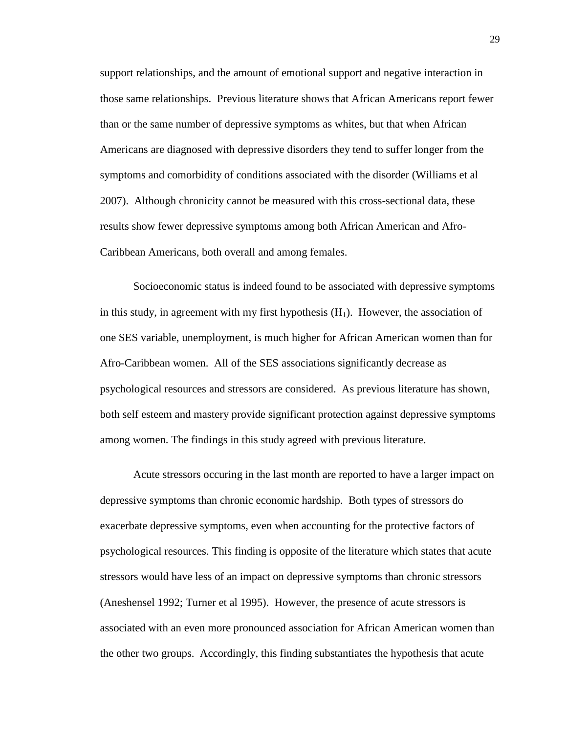support relationships, and the amount of emotional support and negative interaction in those same relationships. Previous literature shows that African Americans report fewer than or the same number of depressive symptoms as whites, but that when African Americans are diagnosed with depressive disorders they tend to suffer longer from the symptoms and comorbidity of conditions associated with the disorder (Williams et al 2007). Although chronicity cannot be measured with this cross-sectional data, these results show fewer depressive symptoms among both African American and Afro-Caribbean Americans, both overall and among females.

Socioeconomic status is indeed found to be associated with depressive symptoms in this study, in agreement with my first hypothesis  $(H_1)$ . However, the association of one SES variable, unemployment, is much higher for African American women than for Afro-Caribbean women. All of the SES associations significantly decrease as psychological resources and stressors are considered. As previous literature has shown, both self esteem and mastery provide significant protection against depressive symptoms among women. The findings in this study agreed with previous literature.

Acute stressors occuring in the last month are reported to have a larger impact on depressive symptoms than chronic economic hardship. Both types of stressors do exacerbate depressive symptoms, even when accounting for the protective factors of psychological resources. This finding is opposite of the literature which states that acute stressors would have less of an impact on depressive symptoms than chronic stressors (Aneshensel 1992; Turner et al 1995). However, the presence of acute stressors is associated with an even more pronounced association for African American women than the other two groups. Accordingly, this finding substantiates the hypothesis that acute

29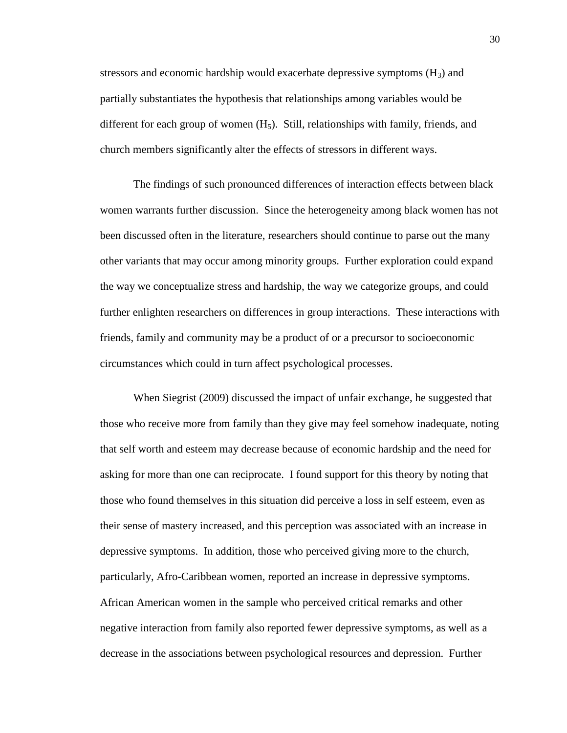stressors and economic hardship would exacerbate depressive symptoms  $(H_3)$  and partially substantiates the hypothesis that relationships among variables would be different for each group of women  $(H_5)$ . Still, relationships with family, friends, and church members significantly alter the effects of stressors in different ways.

The findings of such pronounced differences of interaction effects between black women warrants further discussion. Since the heterogeneity among black women has not been discussed often in the literature, researchers should continue to parse out the many other variants that may occur among minority groups. Further exploration could expand the way we conceptualize stress and hardship, the way we categorize groups, and could further enlighten researchers on differences in group interactions. These interactions with friends, family and community may be a product of or a precursor to socioeconomic circumstances which could in turn affect psychological processes.

When Siegrist (2009) discussed the impact of unfair exchange, he suggested that those who receive more from family than they give may feel somehow inadequate, noting that self worth and esteem may decrease because of economic hardship and the need for asking for more than one can reciprocate. I found support for this theory by noting that those who found themselves in this situation did perceive a loss in self esteem, even as their sense of mastery increased, and this perception was associated with an increase in depressive symptoms. In addition, those who perceived giving more to the church, particularly, Afro-Caribbean women, reported an increase in depressive symptoms. African American women in the sample who perceived critical remarks and other negative interaction from family also reported fewer depressive symptoms, as well as a decrease in the associations between psychological resources and depression. Further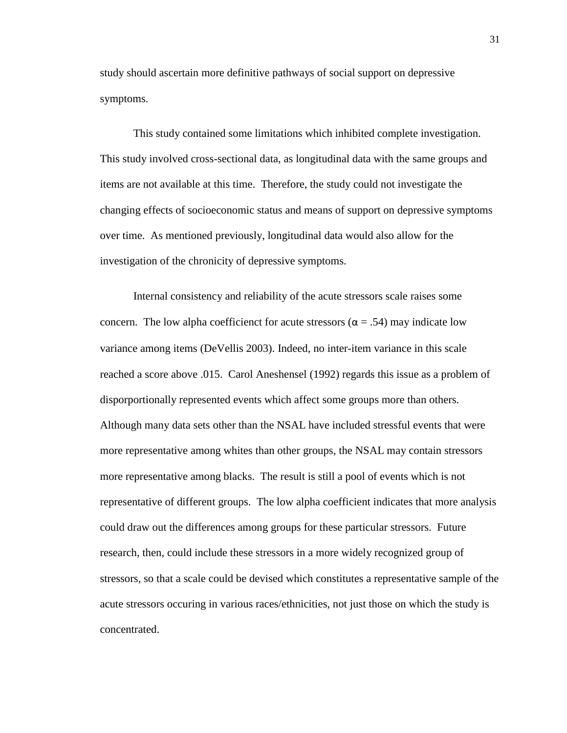study should ascertain more definitive pathways of social support on depressive symptoms.

This study contained some limitations which inhibited complete investigation. This study involved cross-sectional data, as longitudinal data with the same groups and items are not available at this time. Therefore, the study could not investigate the changing effects of socioeconomic status and means of support on depressive symptoms over time. As mentioned previously, longitudinal data would also allow for the investigation of the chronicity of depressive symptoms.

Internal consistency and reliability of the acute stressors scale raises some concern. The low alpha coefficienct for acute stressors ( $\alpha$  = .54) may indicate low variance among items (DeVellis 2003). Indeed, no inter-item variance in this scale reached a score above .015. Carol Aneshensel (1992) regards this issue as a problem of disporportionally represented events which affect some groups more than others. Although many data sets other than the NSAL have included stressful events that were more representative among whites than other groups, the NSAL may contain stressors more representative among blacks. The result is still a pool of events which is not representative of different groups. The low alpha coefficient indicates that more analysis could draw out the differences among groups for these particular stressors. Future research, then, could include these stressors in a more widely recognized group of stressors, so that a scale could be devised which constitutes a representative sample of the acute stressors occuring in various races/ethnicities, not just those on which the study is concentrated.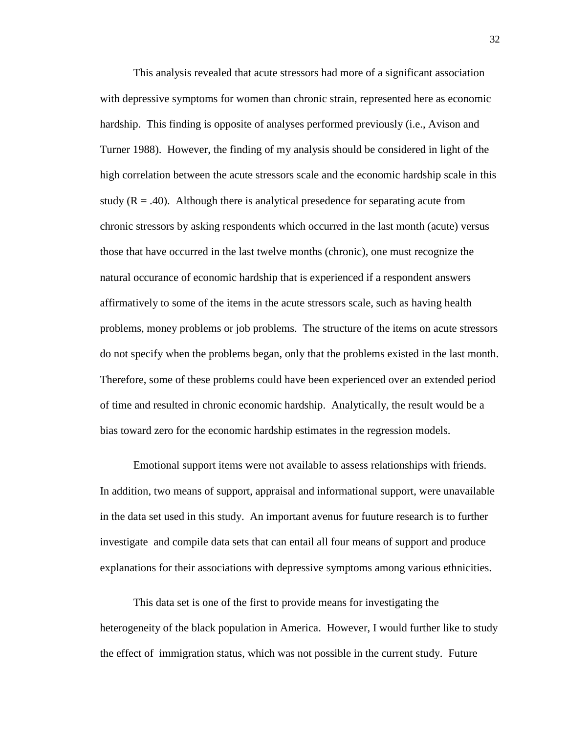This analysis revealed that acute stressors had more of a significant association with depressive symptoms for women than chronic strain, represented here as economic hardship. This finding is opposite of analyses performed previously (i.e., Avison and Turner 1988). However, the finding of my analysis should be considered in light of the high correlation between the acute stressors scale and the economic hardship scale in this study  $(R = .40)$ . Although there is analytical presedence for separating acute from chronic stressors by asking respondents which occurred in the last month (acute) versus those that have occurred in the last twelve months (chronic), one must recognize the natural occurance of economic hardship that is experienced if a respondent answers affirmatively to some of the items in the acute stressors scale, such as having health problems, money problems or job problems. The structure of the items on acute stressors do not specify when the problems began, only that the problems existed in the last month. Therefore, some of these problems could have been experienced over an extended period of time and resulted in chronic economic hardship. Analytically, the result would be a bias toward zero for the economic hardship estimates in the regression models.

Emotional support items were not available to assess relationships with friends. In addition, two means of support, appraisal and informational support, were unavailable in the data set used in this study. An important avenus for fuuture research is to further investigate and compile data sets that can entail all four means of support and produce explanations for their associations with depressive symptoms among various ethnicities.

This data set is one of the first to provide means for investigating the heterogeneity of the black population in America. However, I would further like to study the effect of immigration status, which was not possible in the current study. Future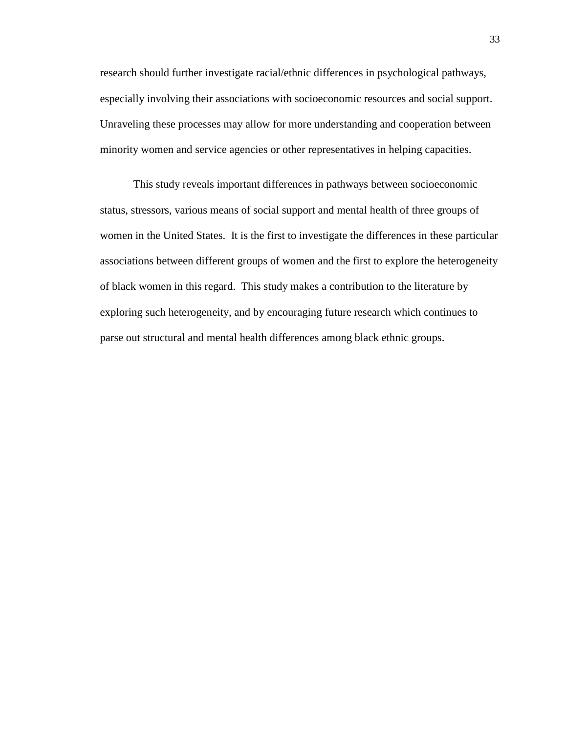research should further investigate racial/ethnic differences in psychological pathways, especially involving their associations with socioeconomic resources and social support. Unraveling these processes may allow for more understanding and cooperation between minority women and service agencies or other representatives in helping capacities.

This study reveals important differences in pathways between socioeconomic status, stressors, various means of social support and mental health of three groups of women in the United States. It is the first to investigate the differences in these particular associations between different groups of women and the first to explore the heterogeneity of black women in this regard. This study makes a contribution to the literature by exploring such heterogeneity, and by encouraging future research which continues to parse out structural and mental health differences among black ethnic groups.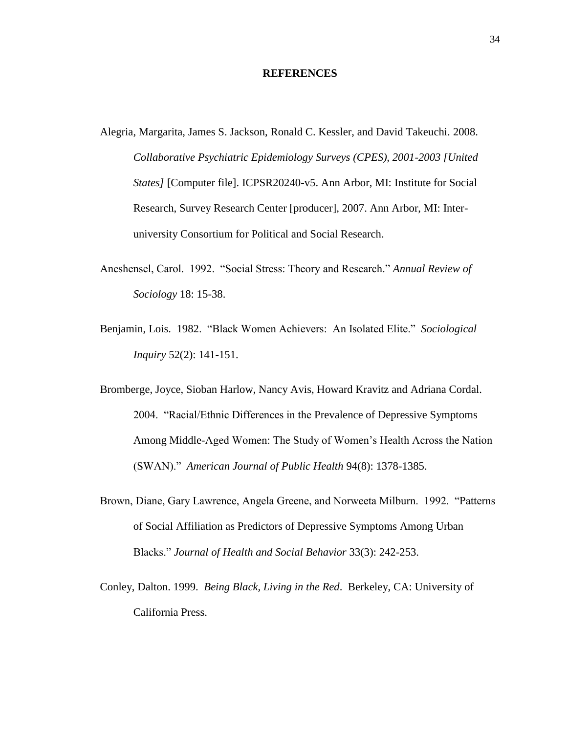#### **REFERENCES**

- Alegria, Margarita, James S. Jackson, Ronald C. Kessler, and David Takeuchi. 2008. *Collaborative Psychiatric Epidemiology Surveys (CPES), 2001-2003 [United States]* [Computer file]. ICPSR20240-v5. Ann Arbor, MI: Institute for Social Research, Survey Research Center [producer], 2007. Ann Arbor, MI: Interuniversity Consortium for Political and Social Research.
- Aneshensel, Carol. 1992. "Social Stress: Theory and Research." *Annual Review of Sociology* 18: 15-38.
- Benjamin, Lois. 1982. "Black Women Achievers: An Isolated Elite." *Sociological Inquiry* 52(2): 141-151.
- Bromberge, Joyce, Sioban Harlow, Nancy Avis, Howard Kravitz and Adriana Cordal. 2004. "Racial/Ethnic Differences in the Prevalence of Depressive Symptoms Among Middle-Aged Women: The Study of Women"s Health Across the Nation (SWAN)." *American Journal of Public Health* 94(8): 1378-1385.
- Brown, Diane, Gary Lawrence, Angela Greene, and Norweeta Milburn. 1992. "Patterns of Social Affiliation as Predictors of Depressive Symptoms Among Urban Blacks." *Journal of Health and Social Behavior* 33(3): 242-253.
- Conley, Dalton. 1999. *Being Black, Living in the Red*. Berkeley, CA: University of California Press.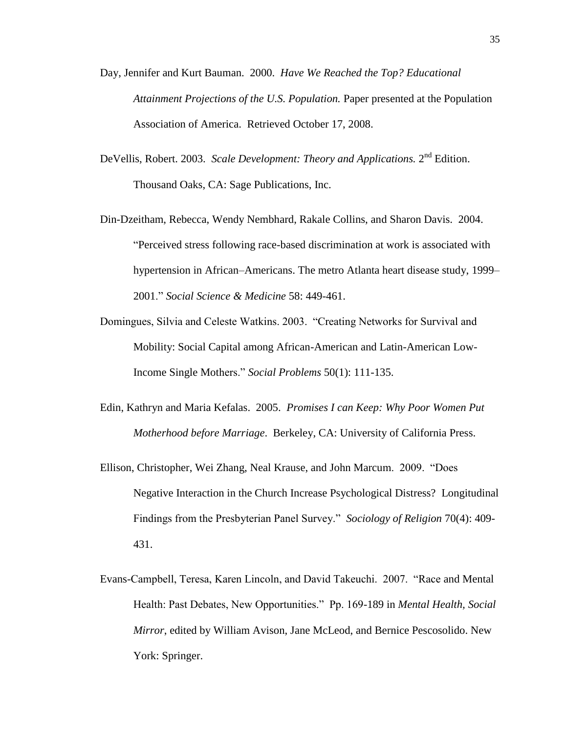- Day, Jennifer and Kurt Bauman. 2000. *Have We Reached the Top? Educational Attainment Projections of the U.S. Population.* Paper presented at the Population Association of America. Retrieved October 17, 2008.
- DeVellis, Robert. 2003. *Scale Development: Theory and Applications*. 2<sup>nd</sup> Edition. Thousand Oaks, CA: Sage Publications, Inc.
- Din-Dzeitham, Rebecca, Wendy Nembhard, Rakale Collins, and Sharon Davis. 2004. "Perceived stress following race-based discrimination at work is associated with hypertension in African–Americans. The metro Atlanta heart disease study, 1999– 2001." *Social Science & Medicine* 58: 449-461.
- Domingues, Silvia and Celeste Watkins. 2003. "Creating Networks for Survival and Mobility: Social Capital among African-American and Latin-American Low-Income Single Mothers." *Social Problems* 50(1): 111-135.
- Edin, Kathryn and Maria Kefalas. 2005. *Promises I can Keep: Why Poor Women Put Motherhood before Marriage*. Berkeley, CA: University of California Press.
- Ellison, Christopher, Wei Zhang, Neal Krause, and John Marcum. 2009. "Does Negative Interaction in the Church Increase Psychological Distress? Longitudinal Findings from the Presbyterian Panel Survey." *Sociology of Religion* 70(4): 409- 431.
- Evans-Campbell, Teresa, Karen Lincoln, and David Takeuchi. 2007. "Race and Mental Health: Past Debates, New Opportunities." Pp. 169-189 in *Mental Health, Social Mirror*, edited by William Avison, Jane McLeod, and Bernice Pescosolido. New York: Springer.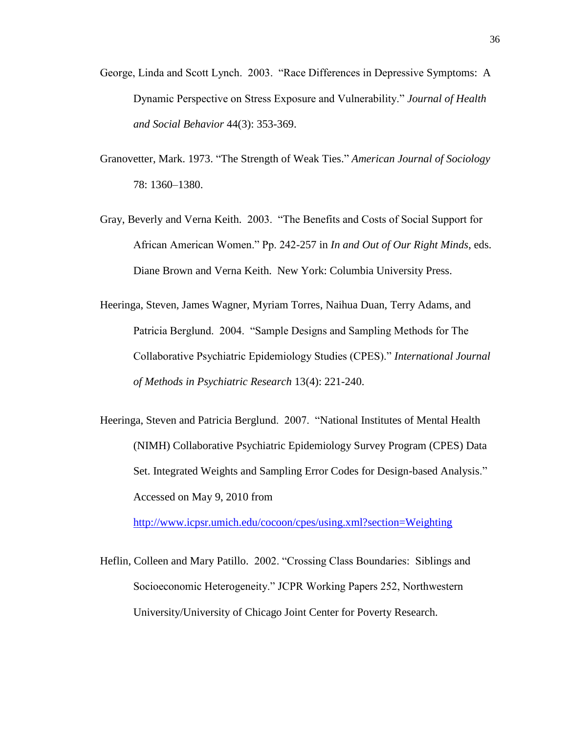- George, Linda and Scott Lynch. 2003. "Race Differences in Depressive Symptoms: A Dynamic Perspective on Stress Exposure and Vulnerability." *Journal of Health and Social Behavior* 44(3): 353-369.
- Granovetter, Mark. 1973. "The Strength of Weak Ties." *American Journal of Sociology* 78: 1360–1380.
- Gray, Beverly and Verna Keith. 2003. "The Benefits and Costs of Social Support for African American Women." Pp. 242-257 in *In and Out of Our Right Minds*, eds. Diane Brown and Verna Keith. New York: Columbia University Press.
- Heeringa, Steven, James Wagner, Myriam Torres, Naihua Duan, Terry Adams, and Patricia Berglund. 2004. "Sample Designs and Sampling Methods for The Collaborative Psychiatric Epidemiology Studies (CPES)." *International Journal of Methods in Psychiatric Research* 13(4): 221-240.
- Heeringa, Steven and Patricia Berglund. 2007. "National Institutes of Mental Health (NIMH) Collaborative Psychiatric Epidemiology Survey Program (CPES) Data Set. Integrated Weights and Sampling Error Codes for Design-based Analysis." Accessed on May 9, 2010 from

<http://www.icpsr.umich.edu/cocoon/cpes/using.xml?section=Weighting>

Heflin, Colleen and Mary Patillo. 2002. "Crossing Class Boundaries: Siblings and Socioeconomic Heterogeneity." JCPR Working Papers 252, Northwestern University/University of Chicago Joint Center for Poverty Research.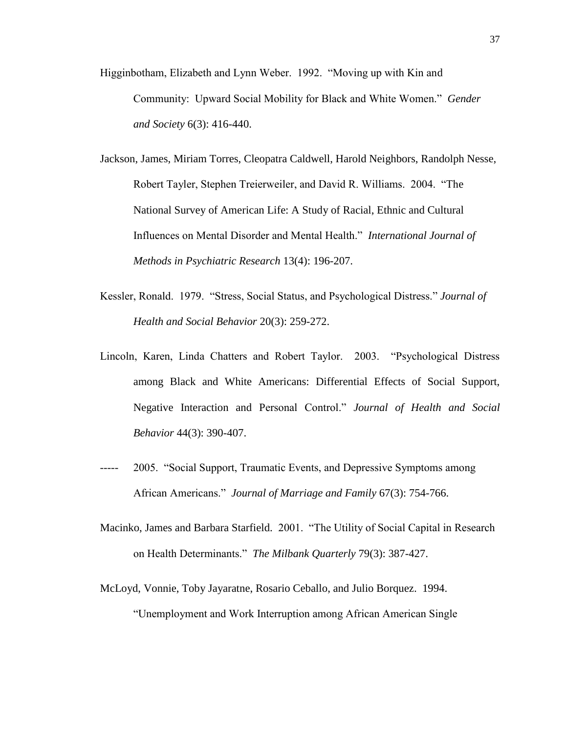- Higginbotham, Elizabeth and Lynn Weber. 1992. "Moving up with Kin and Community: Upward Social Mobility for Black and White Women." *Gender and Society* 6(3): 416-440.
- Jackson, James, Miriam Torres, Cleopatra Caldwell, Harold Neighbors, Randolph Nesse, Robert Tayler, Stephen Treierweiler, and David R. Williams. 2004. "The National Survey of American Life: A Study of Racial, Ethnic and Cultural Influences on Mental Disorder and Mental Health." *International Journal of Methods in Psychiatric Research* 13(4): 196-207.
- Kessler, Ronald. 1979. "Stress, Social Status, and Psychological Distress." *Journal of Health and Social Behavior* 20(3): 259-272.
- Lincoln, Karen, Linda Chatters and Robert Taylor. 2003. "Psychological Distress among Black and White Americans: Differential Effects of Social Support, Negative Interaction and Personal Control." *Journal of Health and Social Behavior* 44(3): 390-407.
- 2005. "Social Support, Traumatic Events, and Depressive Symptoms among African Americans." *Journal of Marriage and Family* 67(3): 754-766.
- Macinko, James and Barbara Starfield. 2001. "The Utility of Social Capital in Research on Health Determinants." *The Milbank Quarterly* 79(3): 387-427.
- McLoyd, Vonnie, Toby Jayaratne, Rosario Ceballo, and Julio Borquez. 1994. "Unemployment and Work Interruption among African American Single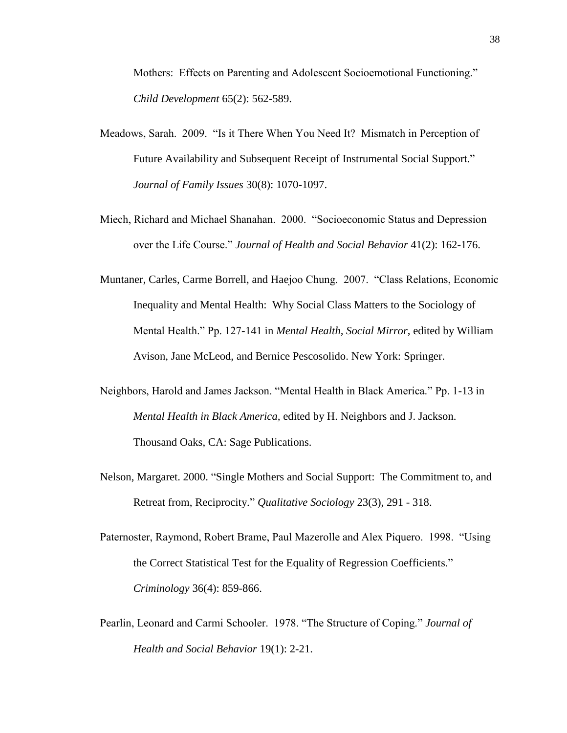Mothers: Effects on Parenting and Adolescent Socioemotional Functioning." *Child Development* 65(2): 562-589.

- Meadows, Sarah. 2009. "Is it There When You Need It? Mismatch in Perception of Future Availability and Subsequent Receipt of Instrumental Social Support." *Journal of Family Issues* 30(8): 1070-1097.
- Miech, Richard and Michael Shanahan. 2000. "Socioeconomic Status and Depression over the Life Course." *Journal of Health and Social Behavior* 41(2): 162-176.
- Muntaner, Carles, Carme Borrell, and Haejoo Chung. 2007. "Class Relations, Economic Inequality and Mental Health: Why Social Class Matters to the Sociology of Mental Health." Pp. 127-141 in *Mental Health, Social Mirror*, edited by William Avison, Jane McLeod, and Bernice Pescosolido. New York: Springer.
- Neighbors, Harold and James Jackson. "Mental Health in Black America." Pp. 1-13 in *Mental Health in Black America,* edited by H. Neighbors and J. Jackson. Thousand Oaks, CA: Sage Publications.
- Nelson, Margaret. 2000. "Single Mothers and Social Support: The Commitment to, and Retreat from, Reciprocity." *Qualitative Sociology* 23(3), 291 - 318.
- Paternoster, Raymond, Robert Brame, Paul Mazerolle and Alex Piquero. 1998. "Using the Correct Statistical Test for the Equality of Regression Coefficients." *Criminology* 36(4): 859-866.
- Pearlin, Leonard and Carmi Schooler. 1978. "The Structure of Coping." *Journal of Health and Social Behavior* 19(1): 2-21.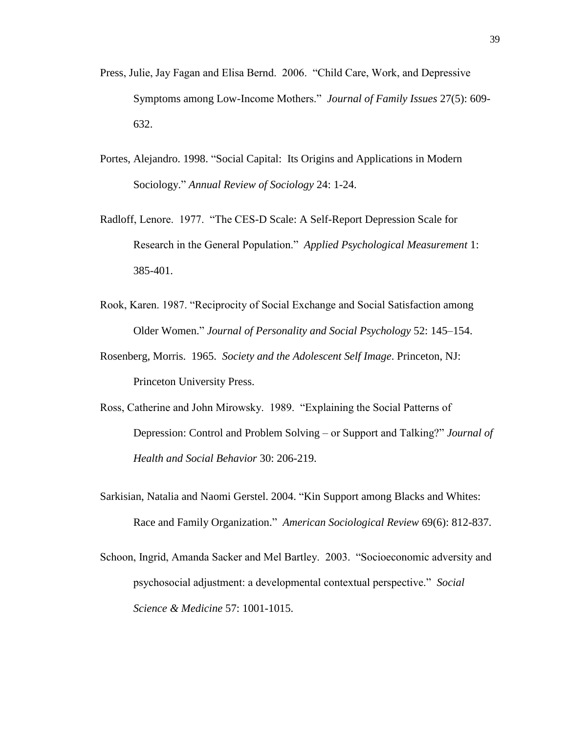- Press, Julie, Jay Fagan and Elisa Bernd. 2006. "Child Care, Work, and Depressive Symptoms among Low-Income Mothers." *Journal of Family Issues* 27(5): 609- 632.
- Portes, Alejandro. 1998. "Social Capital: Its Origins and Applications in Modern Sociology." *Annual Review of Sociology* 24: 1-24.
- Radloff, Lenore. 1977. "The CES-D Scale: A Self-Report Depression Scale for Research in the General Population." *Applied Psychological Measurement* 1: 385-401.
- Rook, Karen. 1987. "Reciprocity of Social Exchange and Social Satisfaction among Older Women." *Journal of Personality and Social Psychology* 52: 145–154.
- Rosenberg, Morris. 1965. *Society and the Adolescent Self Image*. Princeton, NJ: Princeton University Press.
- Ross, Catherine and John Mirowsky. 1989. "Explaining the Social Patterns of Depression: Control and Problem Solving – or Support and Talking?" *Journal of Health and Social Behavior* 30: 206-219.
- Sarkisian, Natalia and Naomi Gerstel. 2004. "Kin Support among Blacks and Whites: Race and Family Organization." *American Sociological Review* 69(6): 812-837.
- Schoon, Ingrid, Amanda Sacker and Mel Bartley. 2003. "Socioeconomic adversity and psychosocial adjustment: a developmental contextual perspective." *Social Science & Medicine* 57: 1001-1015.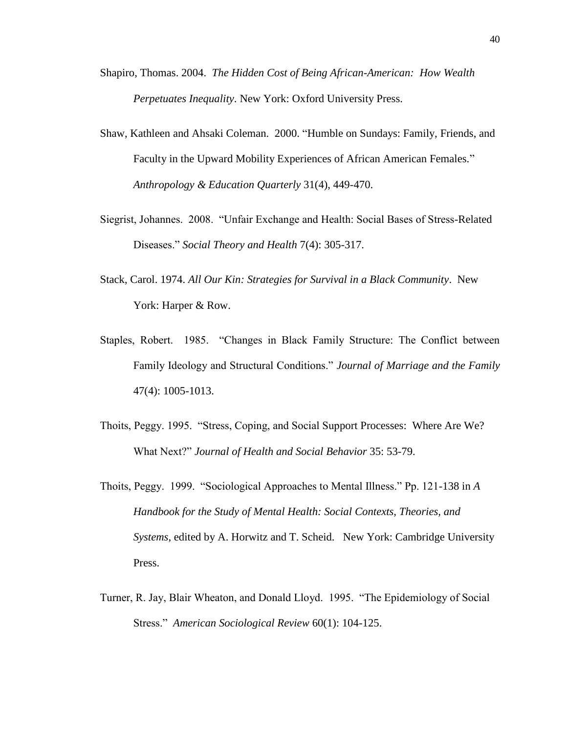- Shapiro, Thomas. 2004. *The Hidden Cost of Being African-American: How Wealth Perpetuates Inequality*. New York: Oxford University Press.
- Shaw, Kathleen and Ahsaki Coleman. 2000. "Humble on Sundays: Family, Friends, and Faculty in the Upward Mobility Experiences of African American Females." *Anthropology & Education Quarterly* 31(4), 449-470.
- Siegrist, Johannes. 2008. "Unfair Exchange and Health: Social Bases of Stress-Related Diseases." *Social Theory and Health* 7(4): 305-317.
- Stack, Carol. 1974. *All Our Kin: Strategies for Survival in a Black Community*. New York: Harper & Row.
- Staples, Robert. 1985. "Changes in Black Family Structure: The Conflict between Family Ideology and Structural Conditions." *Journal of Marriage and the Family* 47(4): 1005-1013.
- Thoits, Peggy. 1995. "Stress, Coping, and Social Support Processes: Where Are We? What Next?" *Journal of Health and Social Behavior* 35: 53-79.
- Thoits, Peggy. 1999. "Sociological Approaches to Mental Illness." Pp. 121-138 in *A Handbook for the Study of Mental Health: Social Contexts, Theories, and Systems*, edited by A. Horwitz and T. Scheid. New York: Cambridge University Press.
- Turner, R. Jay, Blair Wheaton, and Donald Lloyd. 1995. "The Epidemiology of Social Stress." *American Sociological Review* 60(1): 104-125.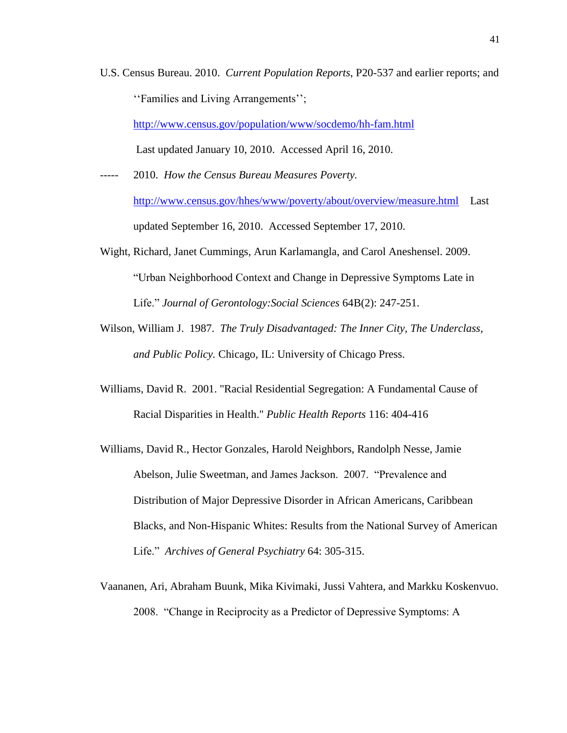U.S. Census Bureau. 2010. *Current Population Reports*, P20-537 and earlier reports; and "Families and Living Arrangements";

<http://www.census.gov/population/www/socdemo/hh-fam.html>

Last updated January 10, 2010. Accessed April 16, 2010.

- 2010. How the Census Bureau Measures Poverty. <http://www.census.gov/hhes/www/poverty/about/overview/measure.html>Last updated September 16, 2010. Accessed September 17, 2010.
- Wight, Richard, Janet Cummings, Arun Karlamangla, and Carol Aneshensel. 2009. "Urban Neighborhood Context and Change in Depressive Symptoms Late in Life." *Journal of Gerontology:Social Sciences* 64B(2): 247-251.
- Wilson, William J. 1987. *The Truly Disadvantaged: The Inner City, The Underclass, and Public Policy.* Chicago, IL: University of Chicago Press.
- Williams, David R. 2001. "Racial Residential Segregation: A Fundamental Cause of Racial Disparities in Health." *Public Health Reports* 116: 404-416
- Williams, David R., Hector Gonzales, Harold Neighbors, Randolph Nesse, Jamie Abelson, Julie Sweetman, and James Jackson. 2007. "Prevalence and Distribution of Major Depressive Disorder in African Americans, Caribbean Blacks, and Non-Hispanic Whites: Results from the National Survey of American Life." *Archives of General Psychiatry* 64: 305-315.
- Vaananen, Ari, Abraham Buunk, Mika Kivimaki, Jussi Vahtera, and Markku Koskenvuo. 2008. "Change in Reciprocity as a Predictor of Depressive Symptoms: A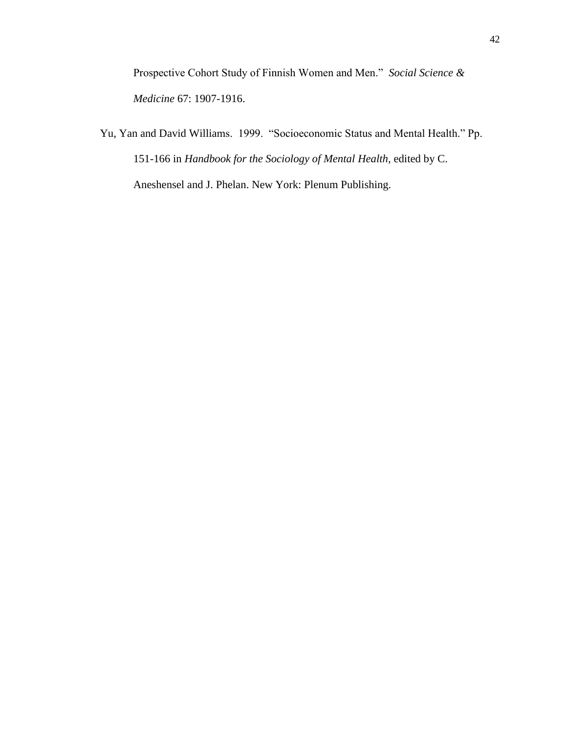Prospective Cohort Study of Finnish Women and Men." *Social Science & Medicine* 67: 1907-1916.

Yu, Yan and David Williams. 1999. "Socioeconomic Status and Mental Health." Pp. 151-166 in *Handbook for the Sociology of Mental Health,* edited by C. Aneshensel and J. Phelan. New York: Plenum Publishing.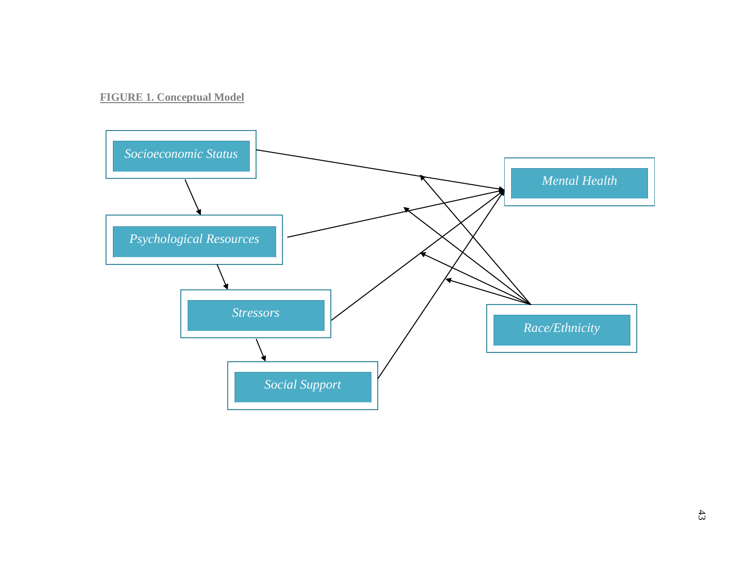## **FIGURE 1. Conceptual Model**

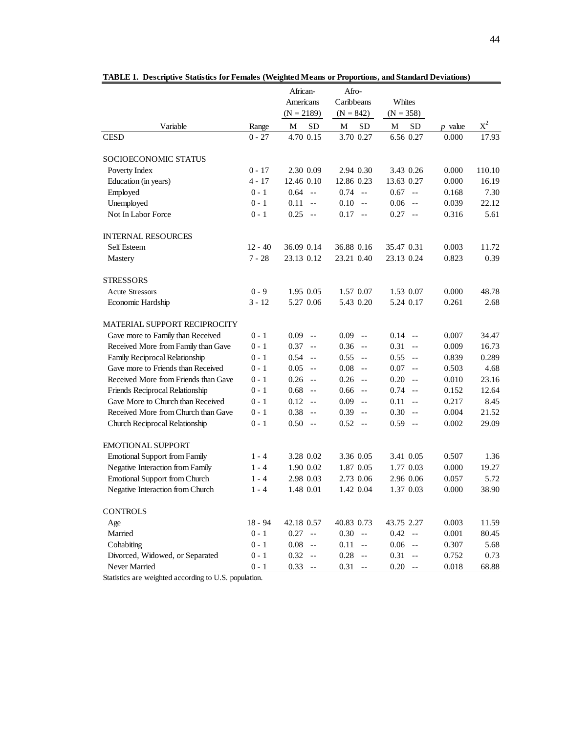|                                                       |           | African-<br>Americans              | Afro-<br>Caribbeans                | Whites                |           |        |
|-------------------------------------------------------|-----------|------------------------------------|------------------------------------|-----------------------|-----------|--------|
|                                                       |           | $(N = 2189)$                       | $(N = 842)$                        | $(N = 358)$           |           |        |
| Variable                                              | Range     | <b>SD</b><br>M                     | <b>SD</b><br>M                     | <b>SD</b><br>M        | $p$ value | $X^2$  |
| <b>CESD</b>                                           | $0 - 27$  | 4.70 0.15                          | 3.70 0.27                          | 6.56 0.27             | 0.000     | 17.93  |
| SOCIOECONOMIC STATUS                                  |           |                                    |                                    |                       |           |        |
| Poverty Index                                         | $0 - 17$  | 2.30 0.09                          | 2.94 0.30                          | 3.43 0.26             | 0.000     | 110.10 |
| Education (in years)                                  | $4 - 17$  | 12.46 0.10                         | 12.86 0.23                         | 13.63 0.27            | 0.000     | 16.19  |
| Employed                                              | $0 - 1$   | 0.64<br>$-$                        | $0.74 - -$                         | 0.67<br>$\sim$ $\sim$ | 0.168     | 7.30   |
| Unemployed                                            | $0 - 1$   | 0.11<br>$-$                        | 0.10<br>$-$                        | 0.06<br>$-$           | 0.039     | 22.12  |
| Not In Labor Force                                    | $0 - 1$   | 0.25<br>$-$                        | $0.17 - -$                         | $0.27 - -$            | 0.316     | 5.61   |
| <b>INTERNAL RESOURCES</b>                             |           |                                    |                                    |                       |           |        |
| <b>Self Esteem</b>                                    | $12 - 40$ | 36.09 0.14                         | 36.88 0.16                         | 35.47 0.31            | 0.003     | 11.72  |
| Mastery                                               | $7 - 28$  | 23.13 0.12                         | 23.21 0.40                         | 23.13 0.24            | 0.823     | 0.39   |
| <b>STRESSORS</b>                                      |           |                                    |                                    |                       |           |        |
| <b>Acute Stressors</b>                                | $0 - 9$   | 1.95 0.05                          | 1.57 0.07                          | 1.53 0.07             | 0.000     | 48.78  |
| Economic Hardship                                     | $3 - 12$  | 5.27 0.06                          | 5.43 0.20                          | 5.24 0.17             | 0.261     | 2.68   |
| MATERIAL SUPPORT RECIPROCITY                          |           |                                    |                                    |                       |           |        |
| Gave more to Family than Received                     | $0 - 1$   | $0.09 -$                           | $0.09 -$                           | $0.14 -$              | 0.007     | 34.47  |
| Received More from Family than Gave                   | $0 - 1$   | $0.37 -$                           | 0.36<br>$\sim$                     | 0.31<br>$\sim$ $\sim$ | 0.009     | 16.73  |
| Family Reciprocal Relationship                        | $0 - 1$   | $0.54 -$                           | $0.55 -$                           | 0.55<br>$-$           | 0.839     | 0.289  |
| Gave more to Friends than Received                    | $0 - 1$   | $0.05 -$                           | 0.08<br>$\sim$                     | 0.07<br>$-$           | 0.503     | 4.68   |
| Received More from Friends than Gave                  | $0 - 1$   | $0.26 -$                           | 0.26<br>$\sim$ $-$                 | 0.20<br>$-$           | 0.010     | 23.16  |
| Friends Reciprocal Relationship                       | $0 - 1$   | 0.68<br>$-$                        | 0.66<br>$\sim$ $-$                 | 0.74<br>$-$           | 0.152     | 12.64  |
| Gave More to Church than Received                     | $0 - 1$   | 0.12<br>$-$                        | 0.09<br>$-$                        | 0.11<br>$-$           | 0.217     | 8.45   |
| Received More from Church than Gave                   | $0 - 1$   | 0.38<br>$-$                        | 0.39<br>$\sim$                     | 0.30<br>$-$           | 0.004     | 21.52  |
| Church Reciprocal Relationship                        | $0 - 1$   | $0.50 -$                           | 0.52<br>$- -$                      | $0.59 -$              | 0.002     | 29.09  |
| <b>EMOTIONAL SUPPORT</b>                              |           |                                    |                                    |                       |           |        |
| <b>Emotional Support from Family</b>                  | $1 - 4$   | 3.28 0.02                          | 3.36 0.05                          | 3.41 0.05             | 0.507     | 1.36   |
| Negative Interaction from Family                      | $1 - 4$   | 1.90 0.02                          | 1.87 0.05                          | 1.77 0.03             | 0.000     | 19.27  |
| <b>Emotional Support from Church</b>                  | $1 - 4$   | 2.98 0.03                          | 2.73 0.06                          | 2.96 0.06             | 0.057     | 5.72   |
| Negative Interaction from Church                      | $1 - 4$   | 1.48 0.01                          | 1.42 0.04                          | 1.37 0.03             | 0.000     | 38.90  |
| <b>CONTROLS</b>                                       |           |                                    |                                    |                       |           |        |
| Age                                                   | $18 - 94$ | 42.18 0.57                         | 40.83 0.73                         | 43.75 2.27            | 0.003     | 11.59  |
| Married                                               | $0 - 1$   | 0.27<br>$-$                        | 0.30<br>$\sim$ $-$                 | 0.42<br>$- -$         | 0.001     | 80.45  |
| Cohabiting                                            | $0 - 1$   | 0.08<br>$\overline{\phantom{m}}$ . | 0.11<br>$\overline{\phantom{a}}$ . | 0.06<br>$-$           | 0.307     | 5.68   |
| Divorced, Widowed, or Separated                       | $0 - 1$   | 0.32<br>$\overline{\phantom{m}}$ . | 0.28<br>$\overline{a}$             | 0.31<br>$ -$          | 0.752     | 0.73   |
| Never Married                                         | $0 - 1$   | 0.33<br>$\sim$ $-$                 | 0.31<br>$\overline{\phantom{a}}$ . | 0.20<br>$-$           | 0.018     | 68.88  |
| Statistics are weighted according to U.S. population. |           |                                    |                                    |                       |           |        |

|  |  |  | TABLE 1. Descriptive Statistics for Females (Weighted Means or Proportions, and Standard Deviations) |  |
|--|--|--|------------------------------------------------------------------------------------------------------|--|
|  |  |  |                                                                                                      |  |

Statistics are weighted according to U.S. population.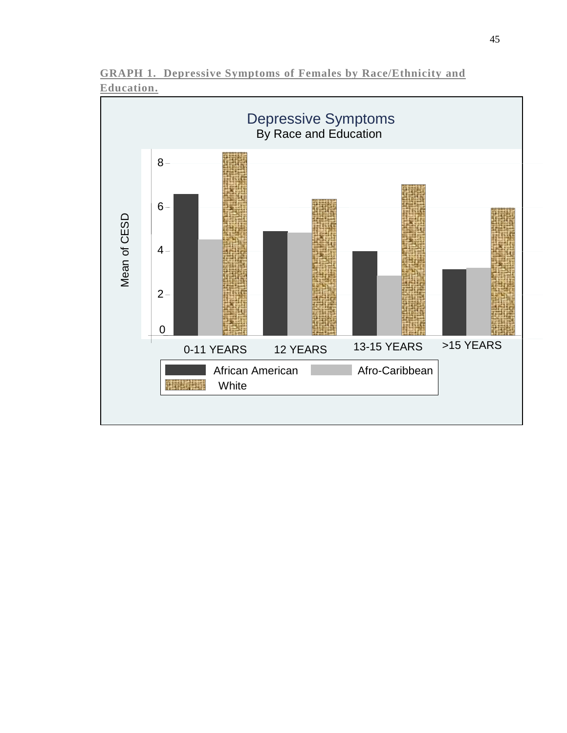

0-11 YEARS 12 YEARS 13-15 YEARS > 15 YEARS

Afro-Caribbean

**GRAPH 1. Depressive Symptoms of Females by Race/Ethnicity and** 

0

非常注重

**White** 

African American

 $2 -$ 

 $4 -$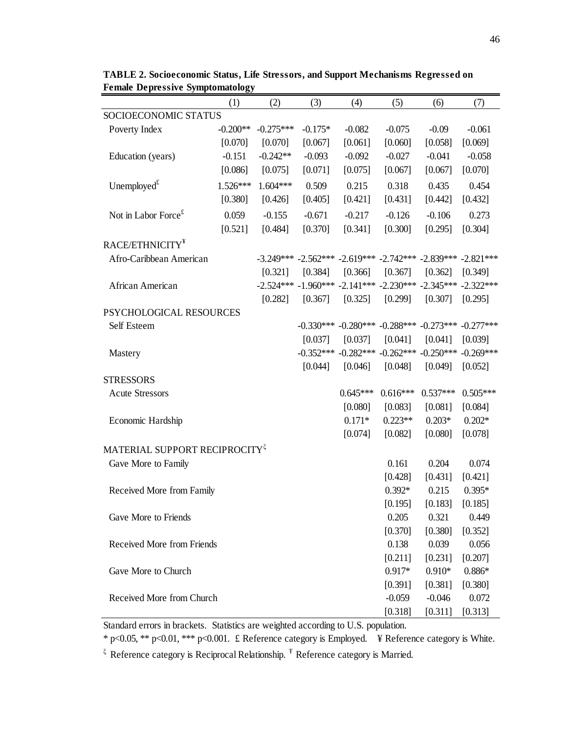|                                           | (1)        | (2)         | (3)       | (4)                                 | (5)        | (6)                                                                     | (7)        |
|-------------------------------------------|------------|-------------|-----------|-------------------------------------|------------|-------------------------------------------------------------------------|------------|
| SOCIOECONOMIC STATUS                      |            |             |           |                                     |            |                                                                         |            |
| Poverty Index                             | $-0.200**$ | $-0.275***$ | $-0.175*$ | $-0.082$                            | $-0.075$   | $-0.09$                                                                 | $-0.061$   |
|                                           | [0.070]    | [0.070]     | [0.067]   | [0.061]                             | [0.060]    | [0.058]                                                                 | [0.069]    |
| Education (years)                         | $-0.151$   | $-0.242**$  | $-0.093$  | $-0.092$                            | $-0.027$   | $-0.041$                                                                | $-0.058$   |
|                                           | [0.086]    | [0.075]     | [0.071]   | [0.075]                             | [0.067]    | [0.067]                                                                 | [0.070]    |
| Unemployed $t^t$                          | $1.526***$ | 1.604***    | 0.509     | 0.215                               | 0.318      | 0.435                                                                   | 0.454      |
|                                           | [0.380]    | [0.426]     | [0.405]   | [0.421]                             | [0.431]    | [0.442]                                                                 | [0.432]    |
| Not in Labor Force $\epsilon$             | 0.059      | $-0.155$    | $-0.671$  | $-0.217$                            | $-0.126$   | $-0.106$                                                                | 0.273      |
|                                           | [0.521]    | [0.484]     | [0.370]   | [0.341]                             | [0.300]    | [0.295]                                                                 | [0.304]    |
| RACE/ETHNICITY <sup>¥</sup>               |            |             |           |                                     |            |                                                                         |            |
| Afro-Caribbean American                   |            |             |           |                                     |            | $-3.249***$ $-2.562***$ $-2.619***$ $-2.742***$ $-2.839***$ $-2.821***$ |            |
|                                           |            | [0.321]     | [0.384]   | [0.366]                             | [0.367]    | [0.362]                                                                 | [0.349]    |
| African American                          |            |             |           |                                     |            | $-2.524***$ $-1.960***$ $-2.141***$ $-2.230***$ $-2.345***$ $-2.322***$ |            |
|                                           |            | [0.282]     | [0.367]   | [0.325]                             | [0.299]    | [0.307]                                                                 | [0.295]    |
| PSYCHOLOGICAL RESOURCES                   |            |             |           |                                     |            |                                                                         |            |
| Self Esteem                               |            |             |           |                                     |            | $-0.330***$ $-0.280***$ $-0.288***$ $-0.273***$ $-0.277***$             |            |
|                                           |            |             | [0.037]   | [0.037]                             | [0.041]    | [0.041]                                                                 | [0.039]    |
| Mastery                                   |            |             |           | $-0.352***$ $-0.282***$ $-0.262***$ |            | $-0.250***$ $-0.269***$                                                 |            |
|                                           |            |             | [0.044]   | [0.046]                             | [0.048]    | [0.049]                                                                 | [0.052]    |
| <b>STRESSORS</b>                          |            |             |           |                                     |            |                                                                         |            |
| <b>Acute Stressors</b>                    |            |             |           | $0.645***$                          | $0.616***$ | $0.537***$                                                              | $0.505***$ |
|                                           |            |             |           | [0.080]                             | [0.083]    | [0.081]                                                                 | [0.084]    |
| Economic Hardship                         |            |             |           | $0.171*$                            | $0.223**$  | $0.203*$                                                                | $0.202*$   |
|                                           |            |             |           | [0.074]                             | [0.082]    | [0.080]                                                                 | [0.078]    |
| MATERIAL SUPPORT RECIPROCITY <sup>5</sup> |            |             |           |                                     |            |                                                                         |            |
| Gave More to Family                       |            |             |           |                                     | 0.161      | 0.204                                                                   | 0.074      |
|                                           |            |             |           |                                     | [0.428]    | [0.431]                                                                 | [0.421]    |
| Received More from Family                 |            |             |           |                                     | $0.392*$   | 0.215                                                                   | $0.395*$   |
|                                           |            |             |           |                                     | [0.195]    | [0.183]                                                                 | [0.185]    |
| Gave More to Friends                      |            |             |           |                                     | 0.205      | 0.321                                                                   | 0.449      |
|                                           |            |             |           |                                     | [0.370]    | [0.380]                                                                 | [0.352]    |
| Received More from Friends                |            |             |           |                                     | 0.138      | 0.039                                                                   | 0.056      |
|                                           |            |             |           |                                     | [0.211]    | [0.231]                                                                 | [0.207]    |
| Gave More to Church                       |            |             |           |                                     | $0.917*$   | $0.910*$                                                                | $0.886*$   |
|                                           |            |             |           |                                     | [0.391]    | [0.381]                                                                 | [0.380]    |
| Received More from Church                 |            |             |           |                                     | $-0.059$   | $-0.046$                                                                | 0.072      |
|                                           |            |             |           |                                     | [0.318]    | [0.311]                                                                 | [0.313]    |

**TABLE 2. Socioeconomic Status, Life Stressors, and Support Mechanisms Regressed on Female Depressive Symptomatology**

Standard errors in brackets. Statistics are weighted according to U.S. population.

\* p<0.05, \*\* p<0.01, \*\*\* p<0.001. £ Reference category is Employed. ¥ Reference category is White.

 $\frac{1}{5}$  Reference category is Reciprocal Relationship.  $\frac{1}{5}$  Reference category is Married.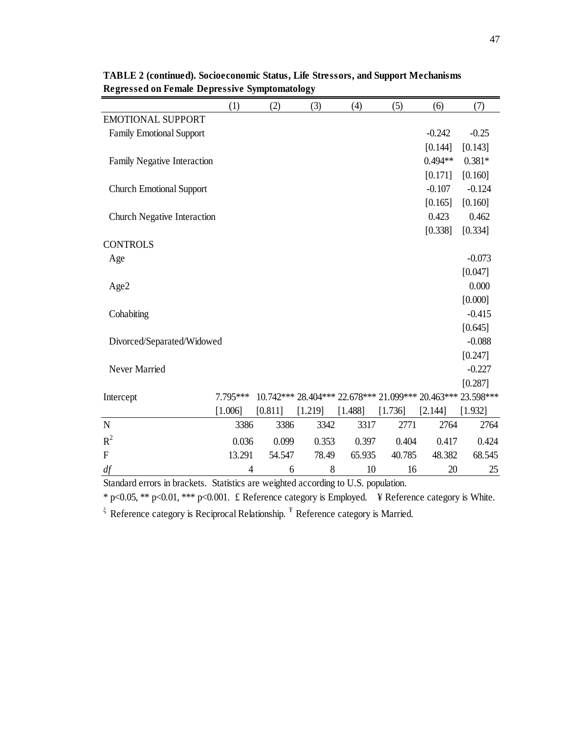|                                                                                    | (1)      | (2)     | (3)                                                         | (4)     | (5)     | (6)       | (7)      |
|------------------------------------------------------------------------------------|----------|---------|-------------------------------------------------------------|---------|---------|-----------|----------|
| <b>EMOTIONAL SUPPORT</b>                                                           |          |         |                                                             |         |         |           |          |
| <b>Family Emotional Support</b>                                                    |          |         |                                                             |         |         | $-0.242$  | $-0.25$  |
|                                                                                    |          |         |                                                             |         |         | [0.144]   | [0.143]  |
| Family Negative Interaction                                                        |          |         |                                                             |         |         | $0.494**$ | $0.381*$ |
|                                                                                    |          |         |                                                             |         |         | [0.171]   | [0.160]  |
| <b>Church Emotional Support</b>                                                    |          |         |                                                             |         |         | $-0.107$  | $-0.124$ |
|                                                                                    |          |         |                                                             |         |         | [0.165]   | [0.160]  |
| Church Negative Interaction                                                        |          |         |                                                             |         |         | 0.423     | 0.462    |
|                                                                                    |          |         |                                                             |         |         | [0.338]   | [0.334]  |
| <b>CONTROLS</b>                                                                    |          |         |                                                             |         |         |           |          |
| Age                                                                                |          |         |                                                             |         |         |           | $-0.073$ |
|                                                                                    |          |         |                                                             |         |         |           | [0.047]  |
| Age2                                                                               |          |         |                                                             |         |         |           | 0.000    |
|                                                                                    |          |         |                                                             |         |         |           | [0.000]  |
| Cohabiting                                                                         |          |         |                                                             |         |         |           | $-0.415$ |
|                                                                                    |          |         |                                                             |         |         |           | [0.645]  |
| Divorced/Separated/Widowed                                                         |          |         |                                                             |         |         |           | $-0.088$ |
|                                                                                    |          |         |                                                             |         |         |           | [0.247]  |
| Never Married                                                                      |          |         |                                                             |         |         |           | $-0.227$ |
|                                                                                    |          |         |                                                             |         |         |           | [0.287]  |
| Intercept                                                                          | 7.795*** |         | 10.742*** 28.404*** 22.678*** 21.099*** 20.463*** 23.598*** |         |         |           |          |
|                                                                                    | [1.006]  | [0.811] | [1.219]                                                     | [1.488] | [1.736] | [2.144]   | [1.932]  |
| $\mathbf N$                                                                        | 3386     | 3386    | 3342                                                        | 3317    | 2771    | 2764      | 2764     |
| $R^2$                                                                              | 0.036    | 0.099   | 0.353                                                       | 0.397   | 0.404   | 0.417     | 0.424    |
| $\overline{F}$                                                                     | 13.291   | 54.547  | 78.49                                                       | 65.935  | 40.785  | 48.382    | 68.545   |
| df                                                                                 | 4        | 6       | 8                                                           | 10      | 16      | 20        | 25       |
| Standard errors in brackets. Statistics are weighted according to U.S. population. |          |         |                                                             |         |         |           |          |

**TABLE 2 (continued). Socioeconomic Status, Life Stressors, and Support Mechanisms Regressed on Female Depressive Symptomatology**

\* p<0.05, \*\* p<0.01, \*\*\* p<0.001. £ Reference category is Employed. ¥ Reference category is White.

 $\frac{1}{2}$  Reference category is Reciprocal Relationship.  $\frac{1}{2}$  Reference category is Married.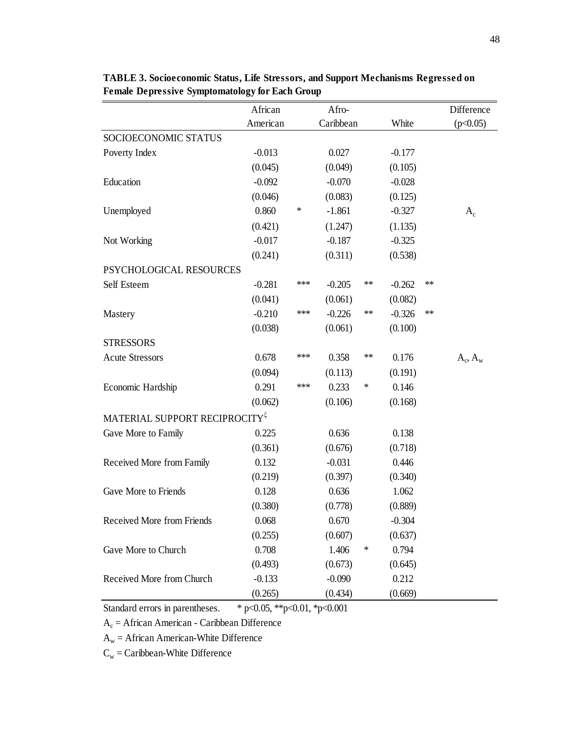|                                           | African  |     | Afro-     |        |          |    | Difference |
|-------------------------------------------|----------|-----|-----------|--------|----------|----|------------|
|                                           | American |     | Caribbean |        | White    |    | (p<0.05)   |
| SOCIOECONOMIC STATUS                      |          |     |           |        |          |    |            |
| Poverty Index                             | $-0.013$ |     | 0.027     |        | $-0.177$ |    |            |
|                                           | (0.045)  |     | (0.049)   |        | (0.105)  |    |            |
| Education                                 | $-0.092$ |     | $-0.070$  |        | $-0.028$ |    |            |
|                                           | (0.046)  |     | (0.083)   |        | (0.125)  |    |            |
| Unemployed                                | 0.860    | ∗   | $-1.861$  |        | $-0.327$ |    | $A_c$      |
|                                           | (0.421)  |     | (1.247)   |        | (1.135)  |    |            |
| Not Working                               | $-0.017$ |     | $-0.187$  |        | $-0.325$ |    |            |
|                                           | (0.241)  |     | (0.311)   |        | (0.538)  |    |            |
| PSYCHOLOGICAL RESOURCES                   |          |     |           |        |          |    |            |
| Self Esteem                               | $-0.281$ | *** | $-0.205$  | $***$  | $-0.262$ | ** |            |
|                                           | (0.041)  |     | (0.061)   |        | (0.082)  |    |            |
| Mastery                                   | $-0.210$ | *** | $-0.226$  | **     | $-0.326$ | ** |            |
|                                           | (0.038)  |     | (0.061)   |        | (0.100)  |    |            |
| <b>STRESSORS</b>                          |          |     |           |        |          |    |            |
| <b>Acute Stressors</b>                    | 0.678    | *** | 0.358     | $***$  | 0.176    |    | $A_c, A_w$ |
|                                           | (0.094)  |     | (0.113)   |        | (0.191)  |    |            |
| Economic Hardship                         | 0.291    | *** | 0.233     | ∗      | 0.146    |    |            |
|                                           | (0.062)  |     | (0.106)   |        | (0.168)  |    |            |
| MATERIAL SUPPORT RECIPROCITY <sup>5</sup> |          |     |           |        |          |    |            |
| Gave More to Family                       | 0.225    |     | 0.636     |        | 0.138    |    |            |
|                                           | (0.361)  |     | (0.676)   |        | (0.718)  |    |            |
| Received More from Family                 | 0.132    |     | $-0.031$  |        | 0.446    |    |            |
|                                           | (0.219)  |     | (0.397)   |        | (0.340)  |    |            |
| Gave More to Friends                      | 0.128    |     | 0.636     |        | 1.062    |    |            |
|                                           | (0.380)  |     | (0.778)   |        | (0.889)  |    |            |
| Received More from Friends                | 0.068    |     | 0.670     |        | $-0.304$ |    |            |
|                                           | (0.255)  |     | (0.607)   |        | (0.637)  |    |            |
| Gave More to Church                       | 0.708    |     | 1.406     | $\ast$ | 0.794    |    |            |
|                                           | (0.493)  |     | (0.673)   |        | (0.645)  |    |            |
| Received More from Church                 | $-0.133$ |     | $-0.090$  |        | 0.212    |    |            |
|                                           | (0.265)  |     | (0.434)   |        | (0.669)  |    |            |

**TABLE 3. Socioeconomic Status, Life Stressors, and Support Mechanisms Regressed on Female Depressive Symptomatology for Each Group**

Standard errors in parentheses. \* p<0.05, \*\*p<0.01, \*p<0.001

 $A_c$  = African American - Caribbean Difference

 $\mathbf{A}_\mathrm{w} = \mathbf{A}\mathbf{f}$ rican American-White Difference

 $C_w =$ Caribbean-White Difference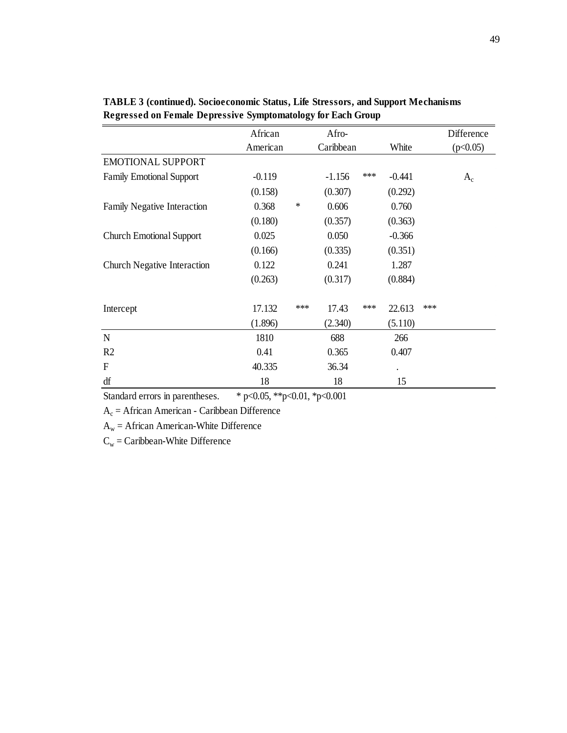|                                    | African                              |     | Afro-     |       |          |     | Difference |
|------------------------------------|--------------------------------------|-----|-----------|-------|----------|-----|------------|
|                                    | American                             |     | Caribbean |       | White    |     | (p<0.05)   |
| <b>EMOTIONAL SUPPORT</b>           |                                      |     |           |       |          |     |            |
| <b>Family Emotional Support</b>    | $-0.119$                             |     | $-1.156$  | ***   | $-0.441$ |     | $A_c$      |
|                                    | (0.158)                              |     | (0.307)   |       | (0.292)  |     |            |
| Family Negative Interaction        | 0.368                                | ∗   | 0.606     |       | 0.760    |     |            |
|                                    | (0.180)                              |     | (0.357)   |       | (0.363)  |     |            |
| <b>Church Emotional Support</b>    | 0.025                                |     | 0.050     |       | $-0.366$ |     |            |
|                                    | (0.166)                              |     | (0.335)   |       | (0.351)  |     |            |
| <b>Church Negative Interaction</b> | 0.122                                |     | 0.241     |       | 1.287    |     |            |
|                                    | (0.263)                              |     | (0.317)   |       | (0.884)  |     |            |
| Intercept                          | 17.132                               | *** | 17.43     | $***$ | 22.613   | *** |            |
|                                    | (1.896)                              |     | (2.340)   |       | (5.110)  |     |            |
| N                                  | 1810                                 |     | 688       |       | 266      |     |            |
| R <sub>2</sub>                     | 0.41                                 |     | 0.365     |       | 0.407    |     |            |
| $\boldsymbol{F}$                   | 40.335                               |     | 36.34     |       |          |     |            |
| df                                 | 18                                   |     | 18        |       | 15       |     |            |
| Standard errors in parentheses     | $* n< 0.05$ $* n< 0.01$ $* n< 0.001$ |     |           |       |          |     |            |

**TABLE 3 (continued). Socioeconomic Status, Life Stressors, and Support Mechanisms Regressed on Female Depressive Symptomatology for Each Group**

Standard errors in parentheses. \* p<0.05, \*\*p<0.01, \*p<0.001

 $A_c$  = African American - Caribbean Difference

 $A_w =$  African American-White Difference

 $C_w =$ Caribbean-White Difference

 $\hat{\mathcal{A}}$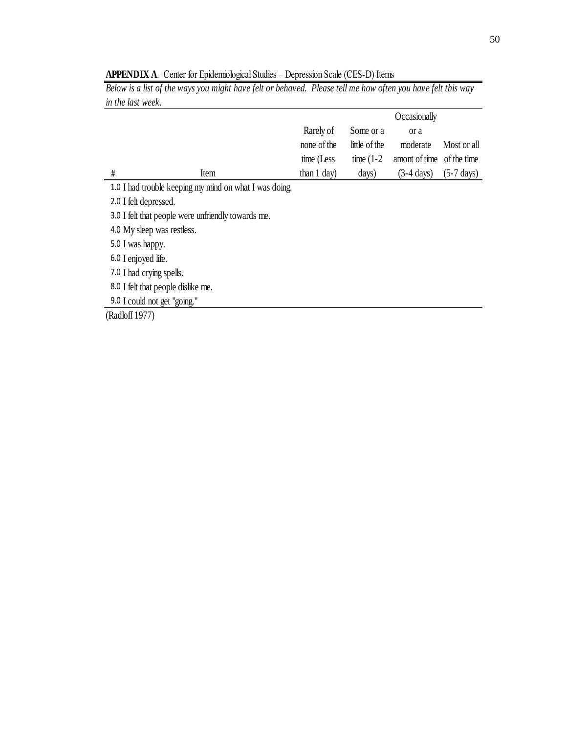| <u>ULL LILO LODI II OODI</u> |                                                        |                        |               |                           |                      |
|------------------------------|--------------------------------------------------------|------------------------|---------------|---------------------------|----------------------|
|                              |                                                        |                        |               | Occasionally              |                      |
|                              |                                                        | Rarely of              | Some or a     | or a                      |                      |
|                              |                                                        | none of the            | little of the | moderate                  | Most or all          |
|                              |                                                        | time (Less             | time $(1-2)$  | amont of time of the time |                      |
| #                            | Item                                                   | than $1 \text{ day}$ ) | days)         | $(3-4 \text{ days})$      | $(5-7 \text{ days})$ |
|                              | 1.0 I had trouble keeping my mind on what I was doing. |                        |               |                           |                      |
| 2.0 I felt depressed.        |                                                        |                        |               |                           |                      |

**APPENDIX A**. Center for Epidemiological Studies – Depression Scale (CES-D) Items

*Below is a list of the ways you might have felt or behaved. Please tell me how often you have felt this way in the last week.*

3.0 I felt that people were unfriendly towards me.

4.0 My sleep was restless.

5.0 I was happy.

6.0 I enjoyed life.

7.0 I had crying spells.

8.0 I felt that people dislike me.

9.0 I could not get "going."

(Radloff 1977)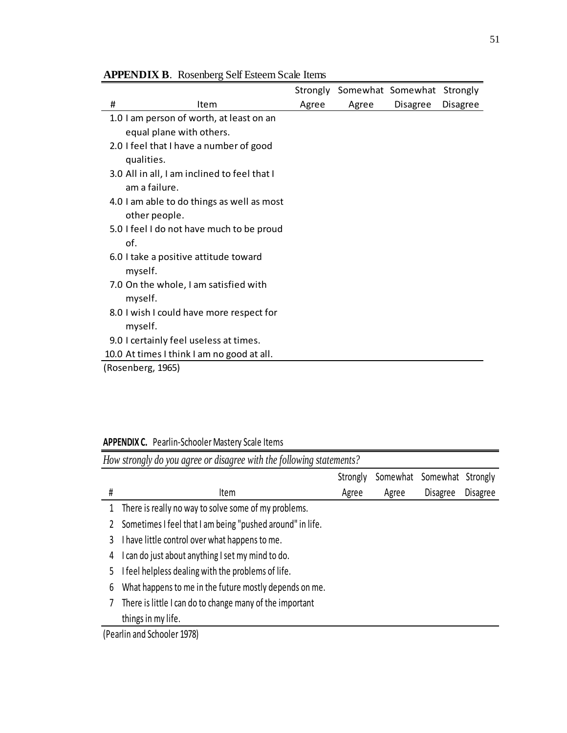|   |                                              |       |       | Strongly Somewhat Somewhat Strongly |          |
|---|----------------------------------------------|-------|-------|-------------------------------------|----------|
| # | Item                                         | Agree | Agree | <b>Disagree</b>                     | Disagree |
|   | 1.0 I am person of worth, at least on an     |       |       |                                     |          |
|   | equal plane with others.                     |       |       |                                     |          |
|   | 2.0 I feel that I have a number of good      |       |       |                                     |          |
|   | qualities.                                   |       |       |                                     |          |
|   | 3.0 All in all, I am inclined to feel that I |       |       |                                     |          |
|   | am a failure.                                |       |       |                                     |          |
|   | 4.0 I am able to do things as well as most   |       |       |                                     |          |
|   | other people.                                |       |       |                                     |          |
|   | 5.0 I feel I do not have much to be proud    |       |       |                                     |          |
|   | of.                                          |       |       |                                     |          |
|   | 6.0 I take a positive attitude toward        |       |       |                                     |          |
|   | myself.                                      |       |       |                                     |          |
|   | 7.0 On the whole, I am satisfied with        |       |       |                                     |          |
|   | myself.                                      |       |       |                                     |          |
|   | 8.0 I wish I could have more respect for     |       |       |                                     |          |
|   | myself.                                      |       |       |                                     |          |
|   | 9.0 I certainly feel useless at times.       |       |       |                                     |          |
|   | 10.0 At times I think I am no good at all.   |       |       |                                     |          |
|   | (Rosenberg, 1965)                            |       |       |                                     |          |

## **APPENDIX B**. Rosenberg Self Esteem Scale Items

**APPENDIX C.** Pearlin-Schooler Mastery Scale Items

|    | How strongly do you agree or disagree with the following statements?     |          |          |                 |          |  |  |  |  |  |
|----|--------------------------------------------------------------------------|----------|----------|-----------------|----------|--|--|--|--|--|
|    |                                                                          | Strongly | Somewhat | Somewhat        | Strongly |  |  |  |  |  |
| #  | Item                                                                     | Agree    | Agree    | <b>Disagree</b> | Disagree |  |  |  |  |  |
|    | There is really no way to solve some of my problems.                     |          |          |                 |          |  |  |  |  |  |
|    | Sometimes I feel that I am being "pushed around" in life.                |          |          |                 |          |  |  |  |  |  |
| 3  | I have little control over what happens to me.                           |          |          |                 |          |  |  |  |  |  |
| 4  | can do just about anything I set my mind to do.                          |          |          |                 |          |  |  |  |  |  |
| 5. | feel helpless dealing with the problems of life.                         |          |          |                 |          |  |  |  |  |  |
| 6  | What happens to me in the future mostly depends on me.                   |          |          |                 |          |  |  |  |  |  |
|    | There is little I can do to change many of the important                 |          |          |                 |          |  |  |  |  |  |
|    | things in my life.                                                       |          |          |                 |          |  |  |  |  |  |
|    | $\mathbf{a}$ . $\mathbf{a}$ . $\mathbf{a}$ . $\mathbf{a}$ . $\mathbf{a}$ |          |          |                 |          |  |  |  |  |  |

(Pearlin and Schooler 1978)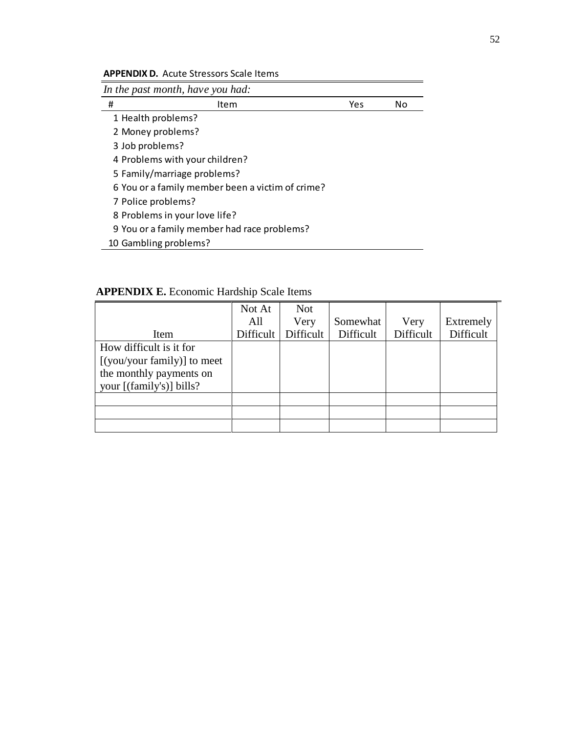**APPENDIX D.** Acute Stressors Scale Items

|   | In the past month, have you had:                 |     |    |
|---|--------------------------------------------------|-----|----|
| # | Item                                             | Yes | No |
|   | 1 Health problems?                               |     |    |
|   | 2 Money problems?                                |     |    |
|   | 3 Job problems?                                  |     |    |
|   | 4 Problems with your children?                   |     |    |
|   | 5 Family/marriage problems?                      |     |    |
|   | 6 You or a family member been a victim of crime? |     |    |
|   | 7 Police problems?                               |     |    |
|   | 8 Problems in your love life?                    |     |    |
|   | 9 You or a family member had race problems?      |     |    |

10 Gambling problems?

**APPENDIX E.** Economic Hardship Scale Items

|                             | Not At    | <b>Not</b> |           |           |           |
|-----------------------------|-----------|------------|-----------|-----------|-----------|
|                             | All       | Very       | Somewhat  | Very      | Extremely |
| Item                        | Difficult | Difficult  | Difficult | Difficult | Difficult |
| How difficult is it for     |           |            |           |           |           |
| [(you/your family)] to meet |           |            |           |           |           |
| the monthly payments on     |           |            |           |           |           |
| your [(family's)] bills?    |           |            |           |           |           |
|                             |           |            |           |           |           |
|                             |           |            |           |           |           |
|                             |           |            |           |           |           |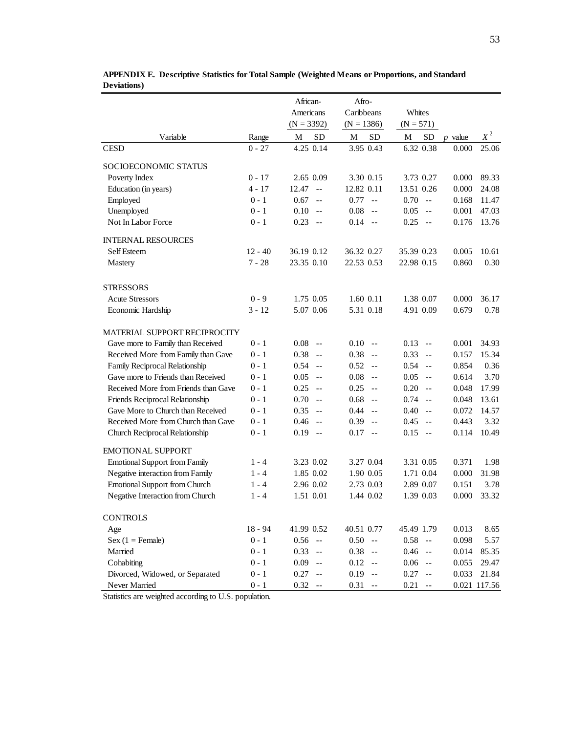|                                                       |           | African-                         | Afro-                              |                                                       |           |              |
|-------------------------------------------------------|-----------|----------------------------------|------------------------------------|-------------------------------------------------------|-----------|--------------|
|                                                       |           | Americans                        | Caribbeans                         | Whites                                                |           |              |
|                                                       |           | $(N = 3392)$                     | $(N = 1386)$                       | $(N = 571)$                                           |           |              |
| Variable                                              | Range     | <b>SD</b><br>M                   | <b>SD</b><br>M                     | ${\rm SD}$<br>M                                       | $p$ value | $X^2$        |
| <b>CESD</b>                                           | $0 - 27$  | 4.25 0.14                        | 3.95 0.43                          | 6.32 0.38                                             | 0.000     | 25.06        |
| SOCIOECONOMIC STATUS                                  |           |                                  |                                    |                                                       |           |              |
| Poverty Index                                         | $0 - 17$  | 2.65 0.09                        | 3.30 0.15                          | 3.73 0.27                                             | 0.000     | 89.33        |
| Education (in years)                                  | $4 - 17$  | 12.47<br>$-$                     | 12.82 0.11                         | 13.51 0.26                                            | 0.000     | 24.08        |
| Employed                                              | $0 - 1$   | 0.67<br>$ -$                     | 0.77<br>$\mathbf{L}$               | 0.70<br>$-$                                           | 0.168     | 11.47        |
| Unemployed                                            | $0 - 1$   | 0.10<br>$-$                      | 0.08<br>$-$                        | 0.05<br>$\sim$ $\sim$                                 | 0.001     | 47.03        |
| Not In Labor Force                                    | $0 - 1$   | 0.23<br>$\sim$ $-$               | 0.14<br>$-$                        | 0.25<br>$-$                                           | 0.176     | 13.76        |
| <b>INTERNAL RESOURCES</b>                             |           |                                  |                                    |                                                       |           |              |
| Self Esteem                                           | $12 - 40$ | 36.19 0.12                       | 36.32 0.27                         | 35.39 0.23                                            | 0.005     | 10.61        |
| Mastery                                               | $7 - 28$  | 23.35 0.10                       | 22.53 0.53                         | 22.98 0.15                                            | 0.860     | 0.30         |
| <b>STRESSORS</b>                                      |           |                                  |                                    |                                                       |           |              |
| <b>Acute Stressors</b>                                | $0 - 9$   | 1.75 0.05                        | 1.60 0.11                          | 1.38 0.07                                             | 0.000     | 36.17        |
| Economic Hardship                                     | $3 - 12$  | 5.07 0.06                        | 5.31 0.18                          | 4.91 0.09                                             | 0.679     | 0.78         |
| MATERIAL SUPPORT RECIPROCITY                          |           |                                  |                                    |                                                       |           |              |
| Gave more to Family than Received                     | $0 - 1$   | 0.08<br>$-$                      | 0.10<br>$-$                        | 0.13<br>$- -$                                         | 0.001     | 34.93        |
| Received More from Family than Gave                   | $0 - 1$   | 0.38<br>$ -$                     | 0.38<br>$-$                        | 0.33<br>$-$                                           | 0.157     | 15.34        |
| Family Reciprocal Relationship                        | $0 - 1$   | 0.54<br>$ -$                     | 0.52<br>$-$                        | 0.54<br>$-$                                           | 0.854     | 0.36         |
| Gave more to Friends than Received                    | $0 - 1$   | 0.05<br>$-$                      | 0.08<br>$-$                        | 0.05<br>$-$                                           | 0.614     | 3.70         |
| Received More from Friends than Gave                  | $0 - 1$   | 0.25<br>$ -$                     | 0.25<br>$-$                        | 0.20<br>$\sim$ $\sim$                                 | 0.048     | 17.99        |
| Friends Reciprocal Relationship                       | $0 - 1$   | 0.70<br>$ -$                     | 0.68<br>$-$                        | 0.74<br>$\sim$ $\sim$                                 | 0.048     | 13.61        |
| Gave More to Church than Received                     | $0 - 1$   | 0.35<br>$-$                      | 0.44<br>$-$                        | 0.40<br>$\sim$ $\sim$                                 | 0.072     | 14.57        |
| Received More from Church than Gave                   | $0 - 1$   | 0.46<br>$\sim$ $\sim$            | 0.39<br>$-$                        | 0.45<br>$\sim$ $\sim$                                 | 0.443     | 3.32         |
| Church Reciprocal Relationship                        | $0 - 1$   | $0.19 -$                         | 0.17<br>$\overline{a}$             | 0.15<br>$-$                                           | 0.114     | 10.49        |
| <b>EMOTIONAL SUPPORT</b>                              |           |                                  |                                    |                                                       |           |              |
| <b>Emotional Support from Family</b>                  | $1 - 4$   | 3.23 0.02                        | 3.27 0.04                          | 3.31 0.05                                             | 0.371     | 1.98         |
| Negative interaction from Family                      | $1 - 4$   | 1.85 0.02                        | 1.90 0.05                          | 1.71 0.04                                             | 0.000     | 31.98        |
| <b>Emotional Support from Church</b>                  | $1 - 4$   | 2.96 0.02                        | 2.73 0.03                          | 2.89 0.07                                             | 0.151     | 3.78         |
| Negative Interaction from Church                      | $1 - 4$   | 1.51 0.01                        | 1.44 0.02                          | 1.39 0.03                                             | 0.000     | 33.32        |
| <b>CONTROLS</b>                                       |           |                                  |                                    |                                                       |           |              |
| Age                                                   | $18 - 94$ | 41.99 0.52                       | 40.51 0.77                         | 45.49 1.79                                            | 0.013     | 8.65         |
| $Sex (1 = Female)$                                    | $0 - 1$   | 0.56<br>$\sim$ $ -$              | $0.50 -$                           | 0.58<br>$- -$                                         | 0.098     | 5.57         |
| Married                                               | $0 - 1$   | 0.33<br>$ -$                     | 0.38<br>$-$                        | 0.46<br>$\sim$ $-$                                    | 0.014     | 85.35        |
| Cohabiting                                            | $0 - 1$   | 0.09<br>$\sim$ $-$               | 0.12<br>$-$                        | $0.06\,$<br>$\sim$ $-$                                | 0.055     | 29.47        |
| Divorced, Widowed, or Separated                       | $0 - 1$   | 0.27<br>$\overline{\phantom{m}}$ | 0.19<br>$-$                        | 0.27<br>$\mathord{\hspace{1pt}\text{--}\hspace{1pt}}$ | 0.033     | 21.84        |
| Never Married                                         | $0 - 1$   | 0.32<br>$\overline{\phantom{m}}$ | 0.31<br>$\overline{\phantom{m}}$ . | 0.21<br>$\overline{\phantom{m}}$ .                    |           | 0.021 117.56 |
| Statistics are weighted according to U.S. population. |           |                                  |                                    |                                                       |           |              |

**APPENDIX E. Descriptive Statistics for Total Sample (Weighted Means or Proportions, and Standard Deviations)**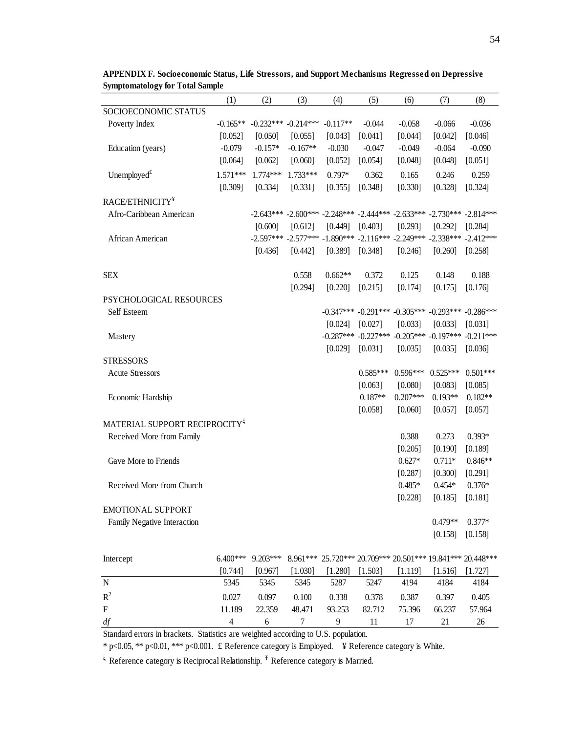|                                           | (1)        | (2)                     | (3)        | (4)        | (5)        | (6)        | (7)                                                                                 | (8)        |
|-------------------------------------------|------------|-------------------------|------------|------------|------------|------------|-------------------------------------------------------------------------------------|------------|
| SOCIOECONOMIC STATUS                      |            |                         |            |            |            |            |                                                                                     |            |
| Poverty Index                             | $-0.165**$ | $-0.232***$ $-0.214***$ |            | $-0.117**$ | $-0.044$   | $-0.058$   | $-0.066$                                                                            | $-0.036$   |
|                                           | [0.052]    | [0.050]                 | [0.055]    | [0.043]    | [0.041]    | [0.044]    | [0.042]                                                                             | [0.046]    |
| Education (years)                         | $-0.079$   | $-0.157*$               | $-0.167**$ | $-0.030$   | $-0.047$   | $-0.049$   | $-0.064$                                                                            | $-0.090$   |
|                                           | [0.064]    | [0.062]                 | [0.060]    | [0.052]    | [0.054]    | [0.048]    | [0.048]                                                                             | [0.051]    |
| Unemployed $t$                            | $1.571***$ | 1.774***                | $1.733***$ | $0.797*$   | 0.362      | 0.165      | 0.246                                                                               | 0.259      |
|                                           | [0.309]    | [0.334]                 | [0.331]    | [0.355]    | [0.348]    | [0.330]    | [0.328]                                                                             | [0.324]    |
| RACE/ETHNICITY <sup>¥</sup>               |            |                         |            |            |            |            |                                                                                     |            |
| Afro-Caribbean American                   |            |                         |            |            |            |            | $-2.643***$ $-2.600***$ $-2.248***$ $-2.444***$ $-2.633***$ $-2.730***$ $-2.814***$ |            |
|                                           |            | [0.600]                 | [0.612]    | [0.449]    | [0.403]    | [0.293]    | [0.292]                                                                             | [0.284]    |
| African American                          |            |                         |            |            |            |            | $-2.597***$ $-2.577***$ $-1.890***$ $-2.116***$ $-2.249***$ $-2.338***$ $-2.412***$ |            |
|                                           |            | [0.436]                 | [0.442]    | [0.389]    | [0.348]    | [0.246]    | [0.260]                                                                             | [0.258]    |
| <b>SEX</b>                                |            |                         | 0.558      | $0.662**$  | 0.372      | 0.125      | 0.148                                                                               | 0.188      |
|                                           |            |                         | [0.294]    | [0.220]    | [0.215]    | [0.174]    | [0.175]                                                                             | [0.176]    |
| <b>PSYCHOLOGICAL RESOURCES</b>            |            |                         |            |            |            |            |                                                                                     |            |
| Self Esteem                               |            |                         |            |            |            |            | $-0.347***$ $-0.291***$ $-0.305***$ $-0.293***$ $-0.286***$                         |            |
|                                           |            |                         |            | [0.024]    | [0.027]    | [0.033]    | [0.033]                                                                             | [0.031]    |
| Mastery                                   |            |                         |            |            |            |            | $-0.287***$ $-0.227***$ $-0.205***$ $-0.197***$ $-0.211***$                         |            |
|                                           |            |                         |            | [0.029]    | [0.031]    | [0.035]    | [0.035]                                                                             | [0.036]    |
| <b>STRESSORS</b>                          |            |                         |            |            |            |            |                                                                                     |            |
| <b>Acute Stressors</b>                    |            |                         |            |            | $0.585***$ | $0.596***$ | $0.525***$                                                                          | $0.501***$ |
|                                           |            |                         |            |            | [0.063]    | [0.080]    | [0.083]                                                                             | [0.085]    |
| Economic Hardship                         |            |                         |            |            | $0.187**$  | $0.207***$ | $0.193**$                                                                           | $0.182**$  |
|                                           |            |                         |            |            | [0.058]    | [0.060]    | [0.057]                                                                             | [0.057]    |
| MATERIAL SUPPORT RECIPROCITY <sup>5</sup> |            |                         |            |            |            |            |                                                                                     |            |
| Received More from Family                 |            |                         |            |            |            | 0.388      | 0.273                                                                               | $0.393*$   |
|                                           |            |                         |            |            |            | [0.205]    | [0.190]                                                                             | [0.189]    |
| Gave More to Friends                      |            |                         |            |            |            | $0.627*$   | $0.711*$                                                                            | $0.846**$  |
|                                           |            |                         |            |            |            | [0.287]    | [0.300]                                                                             | [0.291]    |
| Received More from Church                 |            |                         |            |            |            | $0.485*$   | $0.454*$                                                                            | $0.376*$   |
|                                           |            |                         |            |            |            | [0.228]    | [0.185]                                                                             | [0.181]    |
| <b>EMOTIONAL SUPPORT</b>                  |            |                         |            |            |            |            |                                                                                     |            |
| Family Negative Interaction               |            |                         |            |            |            |            | $0.479**$                                                                           | $0.377*$   |
|                                           |            |                         |            |            |            |            | [0.158]                                                                             | [0.158]    |
|                                           |            |                         |            |            |            |            |                                                                                     |            |

**APPENDIX F. Socioeconomic Status, Life Stressors, and Support Mechanisms Regressed on Depressive Symptomatology for Total Sample**

| Intercept                                                                          | $6400$ *** | $9.203***$ |         |           |         |         |         | 8.961*** 25.720*** 20.709*** 20.501*** 19.841*** 20.448*** |  |
|------------------------------------------------------------------------------------|------------|------------|---------|-----------|---------|---------|---------|------------------------------------------------------------|--|
|                                                                                    | [0.744]    | [0.967]    | [1.030] | $1.280$ ] | [1.503] | [1.119] | [1.516] | [1.727]                                                    |  |
| N                                                                                  | 5345       | 5345       | 5345    | 5287      | 5247    | 4194    | 4184    | 4184                                                       |  |
| $R^2$                                                                              | 0.027      | 0.097      | 0.100   | 0.338     | 0.378   | 0.387   | 0.397   | 0.405                                                      |  |
| F                                                                                  | 11.189     | 22.359     | 48.471  | 93.253    | 82.712  | 75.396  | 66.237  | 57.964                                                     |  |
| df                                                                                 | 4          |            |         | Q         |         |         | 21      | 26                                                         |  |
| Standard errors in brackets. Statistics are weighted according to U.S. population. |            |            |         |           |         |         |         |                                                            |  |

\* p<0.05, \*\* p<0.01, \*\*\* p<0.001. £ Reference category is Employed. ¥ Reference category is White.

 $\frac{1}{2}$  Reference category is Reciprocal Relationship.  $\frac{1}{2}$  Reference category is Married.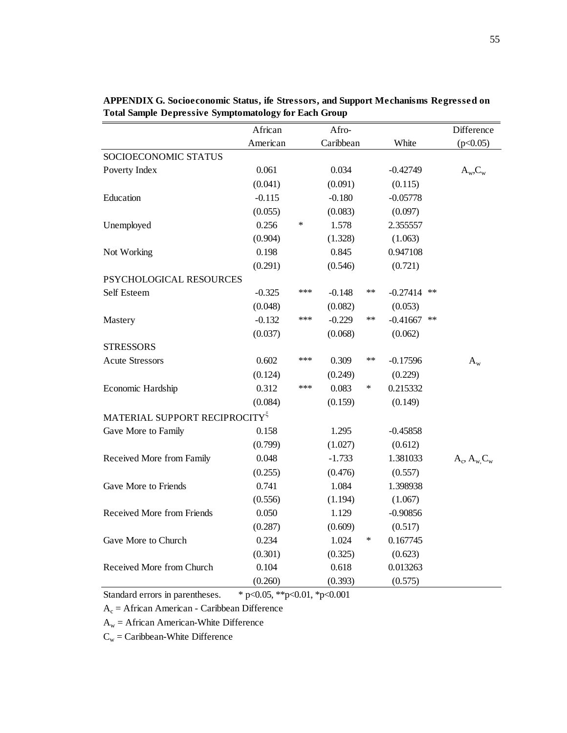|                                           | African<br>Afro- |        |           |               | Difference |            |                       |
|-------------------------------------------|------------------|--------|-----------|---------------|------------|------------|-----------------------|
|                                           | American         |        | Caribbean |               | White      |            | (p<0.05)              |
| SOCIOECONOMIC STATUS                      |                  |        |           |               |            |            |                       |
| Poverty Index                             | 0.061            |        | 0.034     |               | $-0.42749$ |            | $A_w, C_w$            |
|                                           | (0.041)          |        | (0.091)   |               | (0.115)    |            |                       |
| Education                                 | $-0.115$         |        | $-0.180$  |               | $-0.05778$ |            |                       |
|                                           | (0.055)          |        | (0.083)   |               | (0.097)    |            |                       |
| Unemployed                                | 0.256            | $\ast$ | 1.578     |               | 2.355557   |            |                       |
|                                           | (0.904)          |        | (1.328)   |               | (1.063)    |            |                       |
| Not Working                               | 0.198            |        | 0.845     |               | 0.947108   |            |                       |
|                                           | (0.291)          |        | (0.546)   |               | (0.721)    |            |                       |
| PSYCHOLOGICAL RESOURCES                   |                  |        |           |               |            |            |                       |
| Self Esteem                               | $-0.325$         | ***    | $-0.148$  | $***$         | $-0.27414$ | $***$      |                       |
|                                           | (0.048)          |        | (0.082)   |               | (0.053)    |            |                       |
| Mastery                                   | $-0.132$         | ***    | $-0.229$  | $\ast\ast$    | $-0.41667$ | $\ast\ast$ |                       |
|                                           | (0.037)          |        | (0.068)   |               | (0.062)    |            |                       |
| <b>STRESSORS</b>                          |                  |        |           |               |            |            |                       |
| <b>Acute Stressors</b>                    | 0.602            | ***    | 0.309     | $\ast$ $\ast$ | $-0.17596$ |            | $A_w$                 |
|                                           | (0.124)          |        | (0.249)   |               | (0.229)    |            |                       |
| Economic Hardship                         | 0.312            | ***    | 0.083     | ∗             | 0.215332   |            |                       |
|                                           | (0.084)          |        | (0.159)   |               | (0.149)    |            |                       |
| MATERIAL SUPPORT RECIPROCITY <sup>5</sup> |                  |        |           |               |            |            |                       |
| Gave More to Family                       | 0.158            |        | 1.295     |               | $-0.45858$ |            |                       |
|                                           | (0.799)          |        | (1.027)   |               | (0.612)    |            |                       |
| Received More from Family                 | 0.048            |        | $-1.733$  |               | 1.381033   |            | $A_c$ , $A_w$ , $C_w$ |
|                                           | (0.255)          |        | (0.476)   |               | (0.557)    |            |                       |
| Gave More to Friends                      | 0.741            |        | 1.084     |               | 1.398938   |            |                       |
|                                           | (0.556)          |        | (1.194)   |               | (1.067)    |            |                       |
| Received More from Friends                | 0.050            |        | 1.129     |               | $-0.90856$ |            |                       |
|                                           | (0.287)          |        | (0.609)   |               | (0.517)    |            |                       |
| Gave More to Church                       | 0.234            |        | 1.024     | $\ast$        | 0.167745   |            |                       |
|                                           | (0.301)          |        | (0.325)   |               | (0.623)    |            |                       |
| Received More from Church                 | 0.104            |        | 0.618     |               | 0.013263   |            |                       |
|                                           | (0.260)          |        | (0.393)   |               | (0.575)    |            |                       |

**APPENDIX G. Socioeconomic Status, ife Stressors, and Support Mechanisms Regressed on Total Sample Depressive Symptomatology for Each Group**

Standard errors in parentheses. \* p<0.05, \*\*p<0.01, \*p<0.001

 $A_c$  = African American - Caribbean Difference

 $A_w =$  African American-White Difference

 $C_w =$ Caribbean-White Difference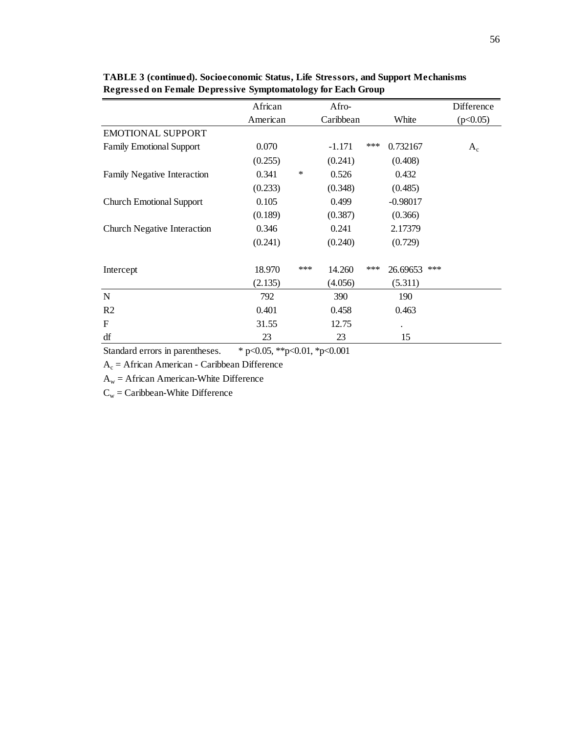|                                    | African  |        | Afro-     |       |                 | Difference |
|------------------------------------|----------|--------|-----------|-------|-----------------|------------|
|                                    | American |        | Caribbean |       | White           | (p<0.05)   |
| <b>EMOTIONAL SUPPORT</b>           |          |        |           |       |                 |            |
| <b>Family Emotional Support</b>    | 0.070    |        | $-1.171$  | $***$ | 0.732167        | $A_c$      |
|                                    | (0.255)  |        | (0.241)   |       | (0.408)         |            |
| <b>Family Negative Interaction</b> | 0.341    | $\ast$ | 0.526     |       | 0.432           |            |
|                                    | (0.233)  |        | (0.348)   |       | (0.485)         |            |
| <b>Church Emotional Support</b>    | 0.105    |        | 0.499     |       | $-0.98017$      |            |
|                                    | (0.189)  |        | (0.387)   |       | (0.366)         |            |
| <b>Church Negative Interaction</b> | 0.346    |        | 0.241     |       | 2.17379         |            |
|                                    | (0.241)  |        | (0.240)   |       | (0.729)         |            |
| Intercept                          | 18.970   | ***    | 14.260    | ***   | ***<br>26.69653 |            |
|                                    | (2.135)  |        | (4.056)   |       | (5.311)         |            |
| N                                  | 792      |        | 390       |       | 190             |            |
| R <sub>2</sub>                     | 0.401    |        | 0.458     |       | 0.463           |            |
| $\mathbf{F}$                       | 31.55    |        | 12.75     |       |                 |            |
| df                                 | 23       |        | 23        |       | 15              |            |

**TABLE 3 (continued). Socioeconomic Status, Life Stressors, and Support Mechanisms Regressed on Female Depressive Symptomatology for Each Group**

Standard errors in parentheses. \* p<0.05, \*\*p<0.01, \*p<0.001

 $A_c$  = African American - Caribbean Difference

 $A_w =$  African American-White Difference

 $C_w =$ Caribbean-White Difference

 $\alpha$